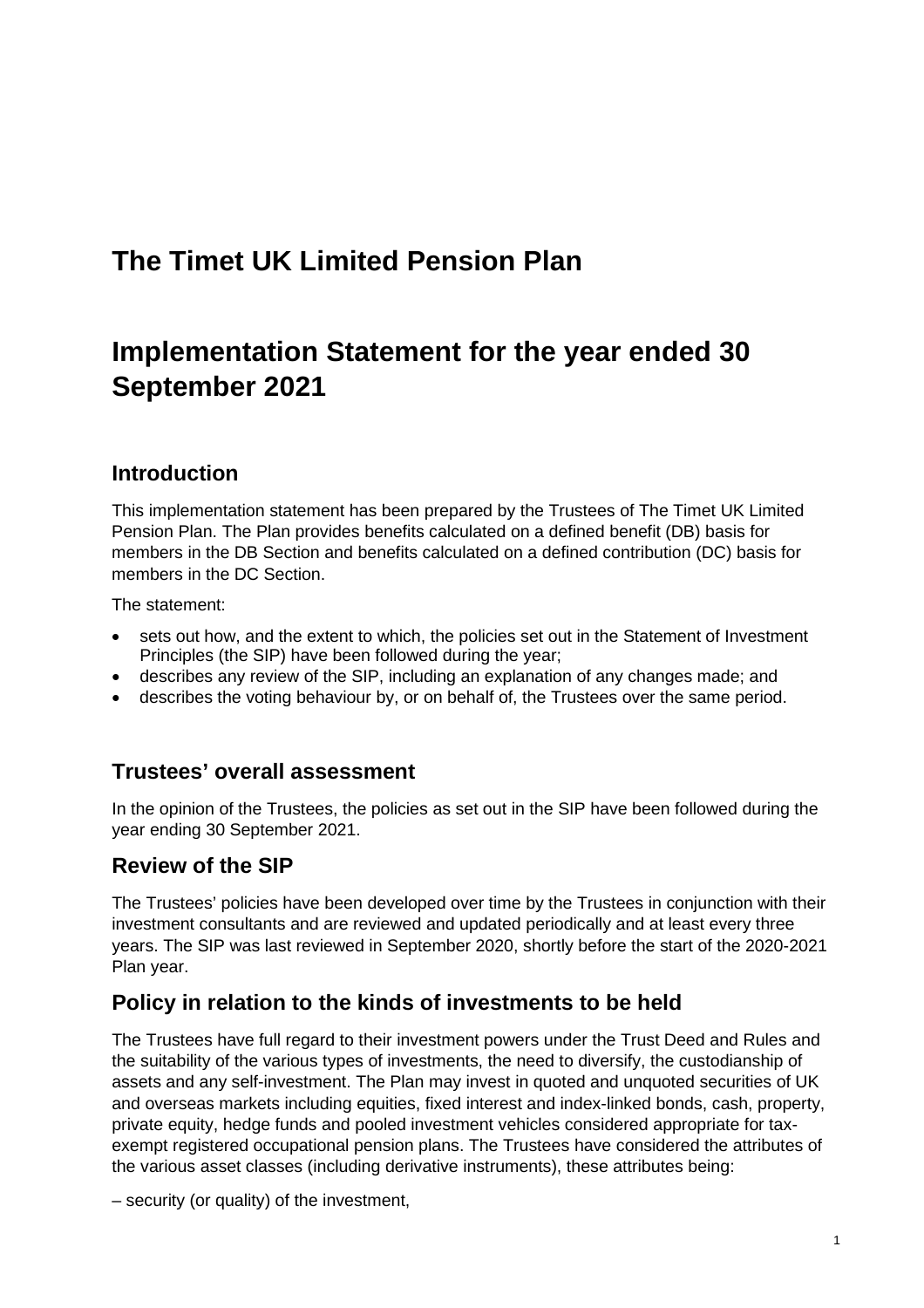## **The Timet UK Limited Pension Plan**

# **Implementation Statement for the year ended 30 September 2021**

### **Introduction**

This implementation statement has been prepared by the Trustees of The Timet UK Limited Pension Plan. The Plan provides benefits calculated on a defined benefit (DB) basis for members in the DB Section and benefits calculated on a defined contribution (DC) basis for members in the DC Section.

The statement:

- sets out how, and the extent to which, the policies set out in the Statement of Investment Principles (the SIP) have been followed during the year;
- describes any review of the SIP, including an explanation of any changes made; and
- describes the voting behaviour by, or on behalf of, the Trustees over the same period.

### **Trustees' overall assessment**

In the opinion of the Trustees, the policies as set out in the SIP have been followed during the year ending 30 September 2021.

### **Review of the SIP**

The Trustees' policies have been developed over time by the Trustees in conjunction with their investment consultants and are reviewed and updated periodically and at least every three years. The SIP was last reviewed in September 2020, shortly before the start of the 2020-2021 Plan year.

### **Policy in relation to the kinds of investments to be held**

The Trustees have full regard to their investment powers under the Trust Deed and Rules and the suitability of the various types of investments, the need to diversify, the custodianship of assets and any self-investment. The Plan may invest in quoted and unquoted securities of UK and overseas markets including equities, fixed interest and index-linked bonds, cash, property, private equity, hedge funds and pooled investment vehicles considered appropriate for taxexempt registered occupational pension plans. The Trustees have considered the attributes of the various asset classes (including derivative instruments), these attributes being:

– security (or quality) of the investment,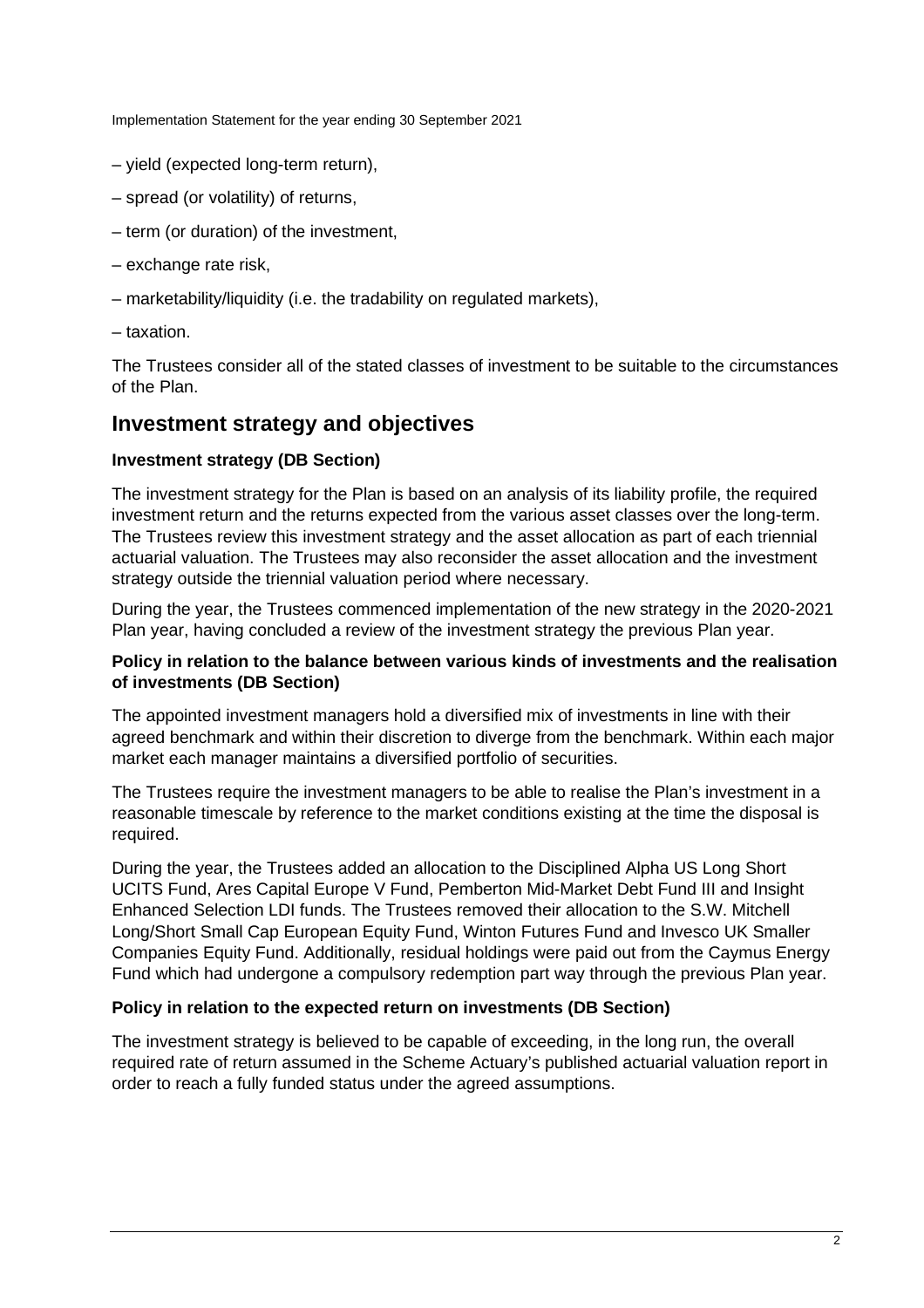- yield (expected long-term return),
- spread (or volatility) of returns,
- term (or duration) of the investment,
- exchange rate risk,
- marketability/liquidity (i.e. the tradability on regulated markets),
- taxation.

The Trustees consider all of the stated classes of investment to be suitable to the circumstances of the Plan.

### **Investment strategy and objectives**

#### **Investment strategy (DB Section)**

The investment strategy for the Plan is based on an analysis of its liability profile, the required investment return and the returns expected from the various asset classes over the long-term. The Trustees review this investment strategy and the asset allocation as part of each triennial actuarial valuation. The Trustees may also reconsider the asset allocation and the investment strategy outside the triennial valuation period where necessary.

During the year, the Trustees commenced implementation of the new strategy in the 2020-2021 Plan year, having concluded a review of the investment strategy the previous Plan year.

#### **Policy in relation to the balance between various kinds of investments and the realisation of investments (DB Section)**

The appointed investment managers hold a diversified mix of investments in line with their agreed benchmark and within their discretion to diverge from the benchmark. Within each major market each manager maintains a diversified portfolio of securities.

The Trustees require the investment managers to be able to realise the Plan's investment in a reasonable timescale by reference to the market conditions existing at the time the disposal is required.

During the year, the Trustees added an allocation to the Disciplined Alpha US Long Short UCITS Fund, Ares Capital Europe V Fund, Pemberton Mid-Market Debt Fund III and Insight Enhanced Selection LDI funds. The Trustees removed their allocation to the S.W. Mitchell Long/Short Small Cap European Equity Fund, Winton Futures Fund and Invesco UK Smaller Companies Equity Fund. Additionally, residual holdings were paid out from the Caymus Energy Fund which had undergone a compulsory redemption part way through the previous Plan year.

#### **Policy in relation to the expected return on investments (DB Section)**

The investment strategy is believed to be capable of exceeding, in the long run, the overall required rate of return assumed in the Scheme Actuary's published actuarial valuation report in order to reach a fully funded status under the agreed assumptions.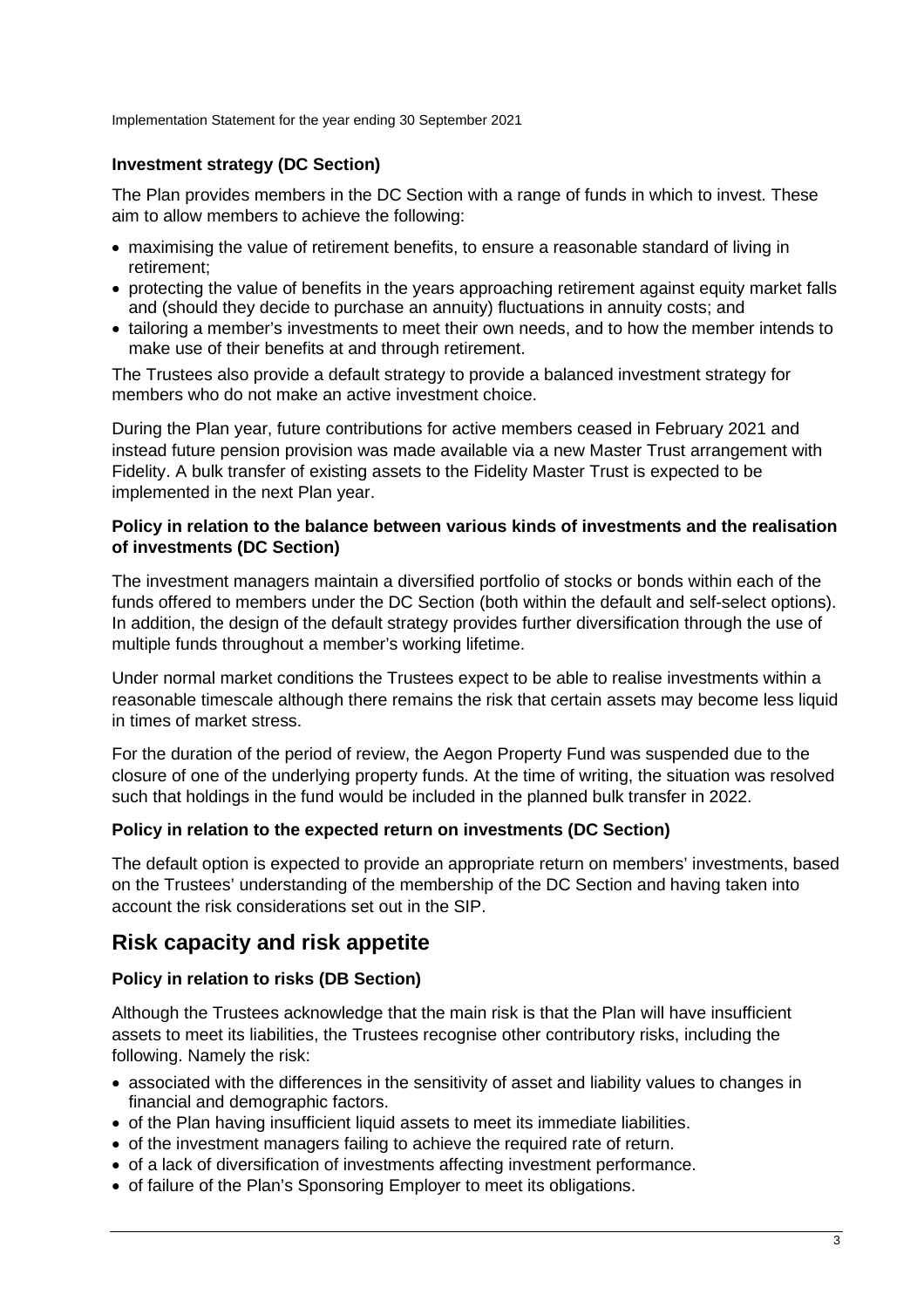### **Investment strategy (DC Section)**

The Plan provides members in the DC Section with a range of funds in which to invest. These aim to allow members to achieve the following:

- maximising the value of retirement benefits, to ensure a reasonable standard of living in retirement;
- protecting the value of benefits in the years approaching retirement against equity market falls and (should they decide to purchase an annuity) fluctuations in annuity costs; and
- tailoring a member's investments to meet their own needs, and to how the member intends to make use of their benefits at and through retirement.

The Trustees also provide a default strategy to provide a balanced investment strategy for members who do not make an active investment choice.

During the Plan year, future contributions for active members ceased in February 2021 and instead future pension provision was made available via a new Master Trust arrangement with Fidelity. A bulk transfer of existing assets to the Fidelity Master Trust is expected to be implemented in the next Plan year.

#### **Policy in relation to the balance between various kinds of investments and the realisation of investments (DC Section)**

The investment managers maintain a diversified portfolio of stocks or bonds within each of the funds offered to members under the DC Section (both within the default and self-select options). In addition, the design of the default strategy provides further diversification through the use of multiple funds throughout a member's working lifetime.

Under normal market conditions the Trustees expect to be able to realise investments within a reasonable timescale although there remains the risk that certain assets may become less liquid in times of market stress.

For the duration of the period of review, the Aegon Property Fund was suspended due to the closure of one of the underlying property funds. At the time of writing, the situation was resolved such that holdings in the fund would be included in the planned bulk transfer in 2022.

### **Policy in relation to the expected return on investments (DC Section)**

The default option is expected to provide an appropriate return on members' investments, based on the Trustees' understanding of the membership of the DC Section and having taken into account the risk considerations set out in the SIP.

### **Risk capacity and risk appetite**

### **Policy in relation to risks (DB Section)**

Although the Trustees acknowledge that the main risk is that the Plan will have insufficient assets to meet its liabilities, the Trustees recognise other contributory risks, including the following. Namely the risk:

- associated with the differences in the sensitivity of asset and liability values to changes in financial and demographic factors.
- of the Plan having insufficient liquid assets to meet its immediate liabilities.
- of the investment managers failing to achieve the required rate of return.
- of a lack of diversification of investments affecting investment performance.
- of failure of the Plan's Sponsoring Employer to meet its obligations.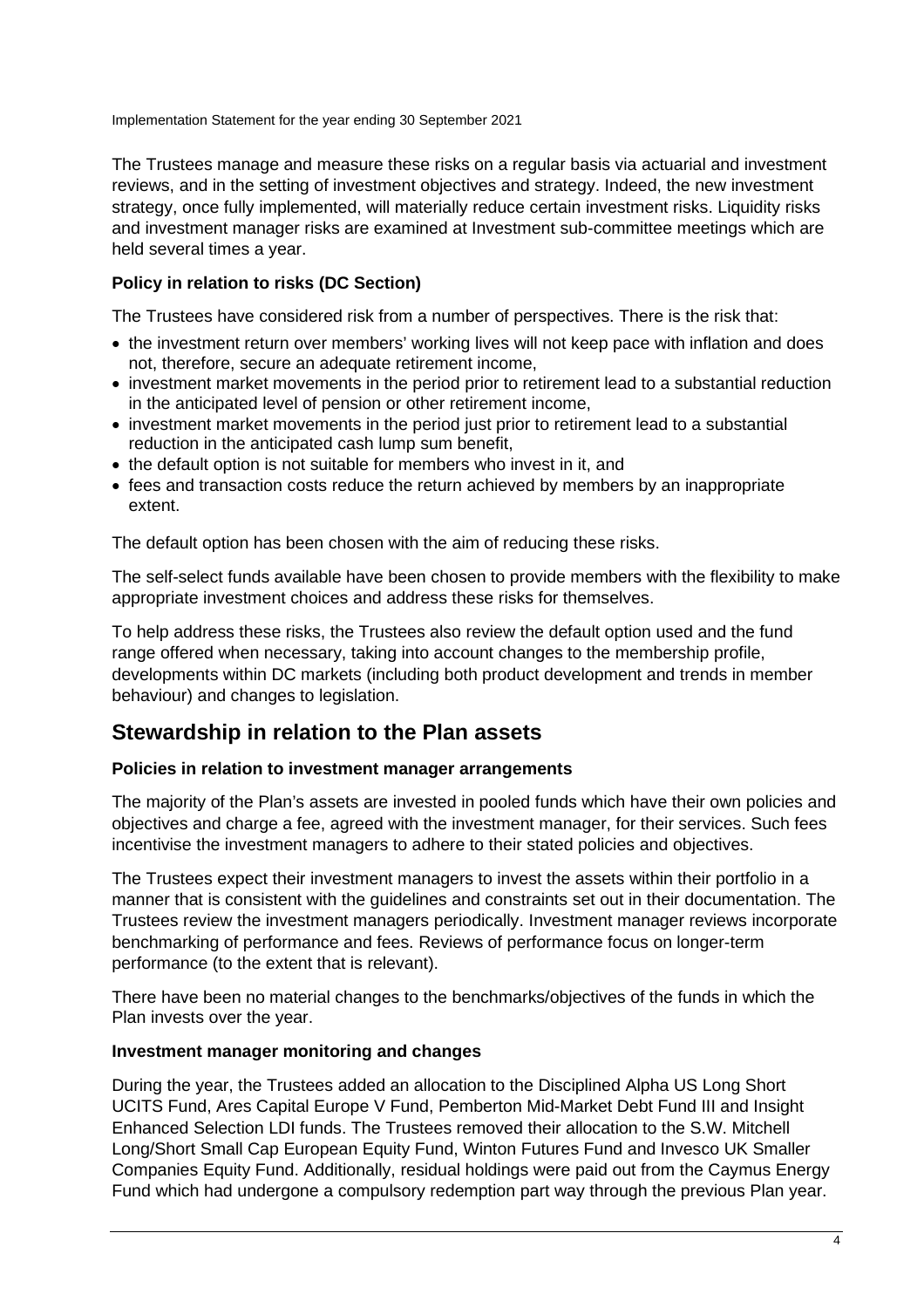The Trustees manage and measure these risks on a regular basis via actuarial and investment reviews, and in the setting of investment objectives and strategy. Indeed, the new investment strategy, once fully implemented, will materially reduce certain investment risks. Liquidity risks and investment manager risks are examined at Investment sub-committee meetings which are held several times a year.

### **Policy in relation to risks (DC Section)**

The Trustees have considered risk from a number of perspectives. There is the risk that:

- the investment return over members' working lives will not keep pace with inflation and does not, therefore, secure an adequate retirement income,
- investment market movements in the period prior to retirement lead to a substantial reduction in the anticipated level of pension or other retirement income,
- investment market movements in the period just prior to retirement lead to a substantial reduction in the anticipated cash lump sum benefit,
- the default option is not suitable for members who invest in it, and
- fees and transaction costs reduce the return achieved by members by an inappropriate extent.

The default option has been chosen with the aim of reducing these risks.

The self-select funds available have been chosen to provide members with the flexibility to make appropriate investment choices and address these risks for themselves.

To help address these risks, the Trustees also review the default option used and the fund range offered when necessary, taking into account changes to the membership profile, developments within DC markets (including both product development and trends in member behaviour) and changes to legislation.

### **Stewardship in relation to the Plan assets**

### **Policies in relation to investment manager arrangements**

The majority of the Plan's assets are invested in pooled funds which have their own policies and objectives and charge a fee, agreed with the investment manager, for their services. Such fees incentivise the investment managers to adhere to their stated policies and objectives.

The Trustees expect their investment managers to invest the assets within their portfolio in a manner that is consistent with the guidelines and constraints set out in their documentation. The Trustees review the investment managers periodically. Investment manager reviews incorporate benchmarking of performance and fees. Reviews of performance focus on longer-term performance (to the extent that is relevant).

There have been no material changes to the benchmarks/objectives of the funds in which the Plan invests over the year.

#### **Investment manager monitoring and changes**

During the year, the Trustees added an allocation to the Disciplined Alpha US Long Short UCITS Fund, Ares Capital Europe V Fund, Pemberton Mid-Market Debt Fund III and Insight Enhanced Selection LDI funds. The Trustees removed their allocation to the S.W. Mitchell Long/Short Small Cap European Equity Fund, Winton Futures Fund and Invesco UK Smaller Companies Equity Fund. Additionally, residual holdings were paid out from the Caymus Energy Fund which had undergone a compulsory redemption part way through the previous Plan year.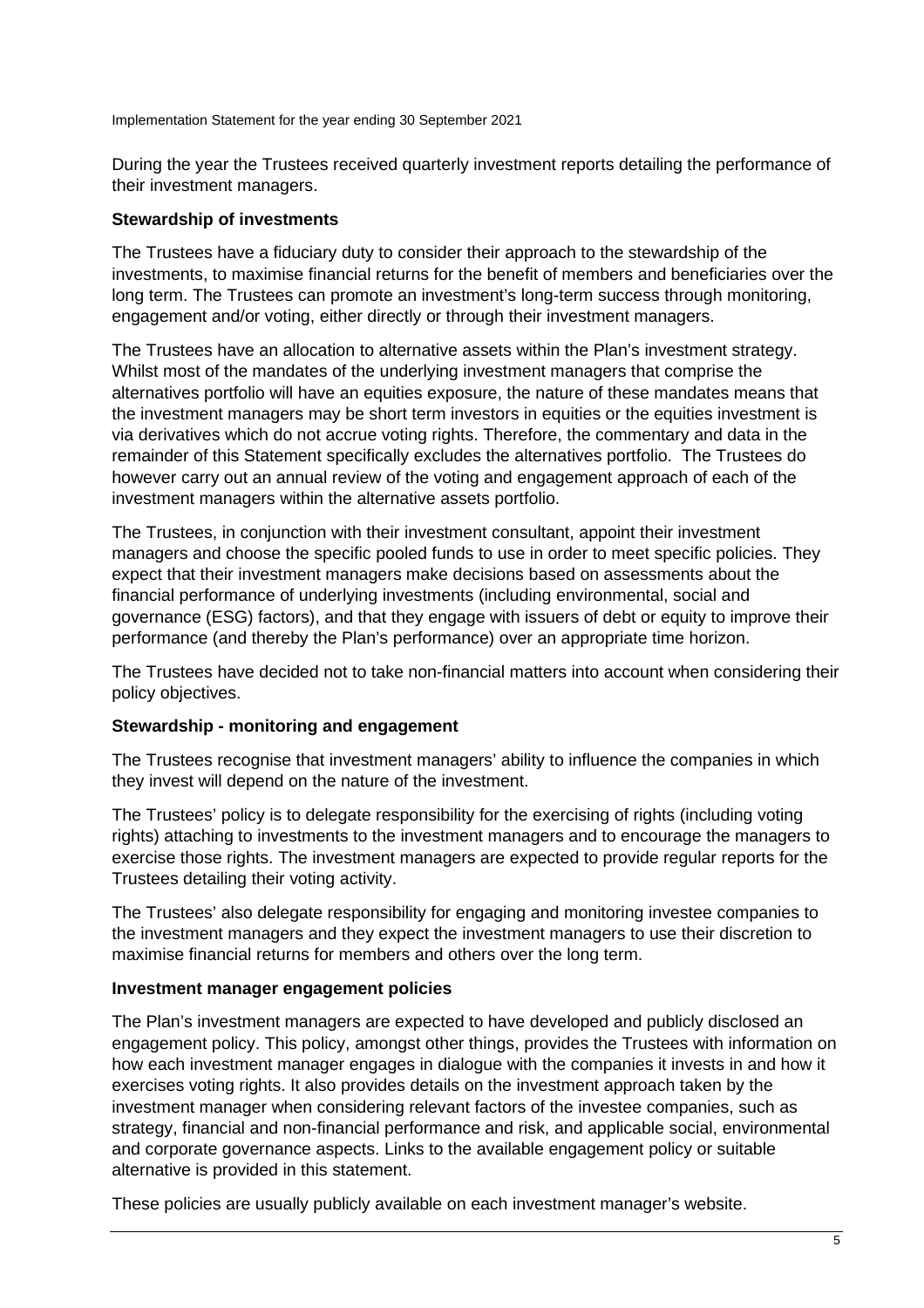During the year the Trustees received quarterly investment reports detailing the performance of their investment managers.

### **Stewardship of investments**

The Trustees have a fiduciary duty to consider their approach to the stewardship of the investments, to maximise financial returns for the benefit of members and beneficiaries over the long term. The Trustees can promote an investment's long-term success through monitoring, engagement and/or voting, either directly or through their investment managers.

The Trustees have an allocation to alternative assets within the Plan's investment strategy. Whilst most of the mandates of the underlying investment managers that comprise the alternatives portfolio will have an equities exposure, the nature of these mandates means that the investment managers may be short term investors in equities or the equities investment is via derivatives which do not accrue voting rights. Therefore, the commentary and data in the remainder of this Statement specifically excludes the alternatives portfolio. The Trustees do however carry out an annual review of the voting and engagement approach of each of the investment managers within the alternative assets portfolio.

The Trustees, in conjunction with their investment consultant, appoint their investment managers and choose the specific pooled funds to use in order to meet specific policies. They expect that their investment managers make decisions based on assessments about the financial performance of underlying investments (including environmental, social and governance (ESG) factors), and that they engage with issuers of debt or equity to improve their performance (and thereby the Plan's performance) over an appropriate time horizon.

The Trustees have decided not to take non-financial matters into account when considering their policy objectives.

### **Stewardship - monitoring and engagement**

The Trustees recognise that investment managers' ability to influence the companies in which they invest will depend on the nature of the investment.

The Trustees' policy is to delegate responsibility for the exercising of rights (including voting rights) attaching to investments to the investment managers and to encourage the managers to exercise those rights. The investment managers are expected to provide regular reports for the Trustees detailing their voting activity.

The Trustees' also delegate responsibility for engaging and monitoring investee companies to the investment managers and they expect the investment managers to use their discretion to maximise financial returns for members and others over the long term.

#### **Investment manager engagement policies**

The Plan's investment managers are expected to have developed and publicly disclosed an engagement policy. This policy, amongst other things, provides the Trustees with information on how each investment manager engages in dialogue with the companies it invests in and how it exercises voting rights. It also provides details on the investment approach taken by the investment manager when considering relevant factors of the investee companies, such as strategy, financial and non-financial performance and risk, and applicable social, environmental and corporate governance aspects. Links to the available engagement policy or suitable alternative is provided in this statement.

These policies are usually publicly available on each investment manager's website.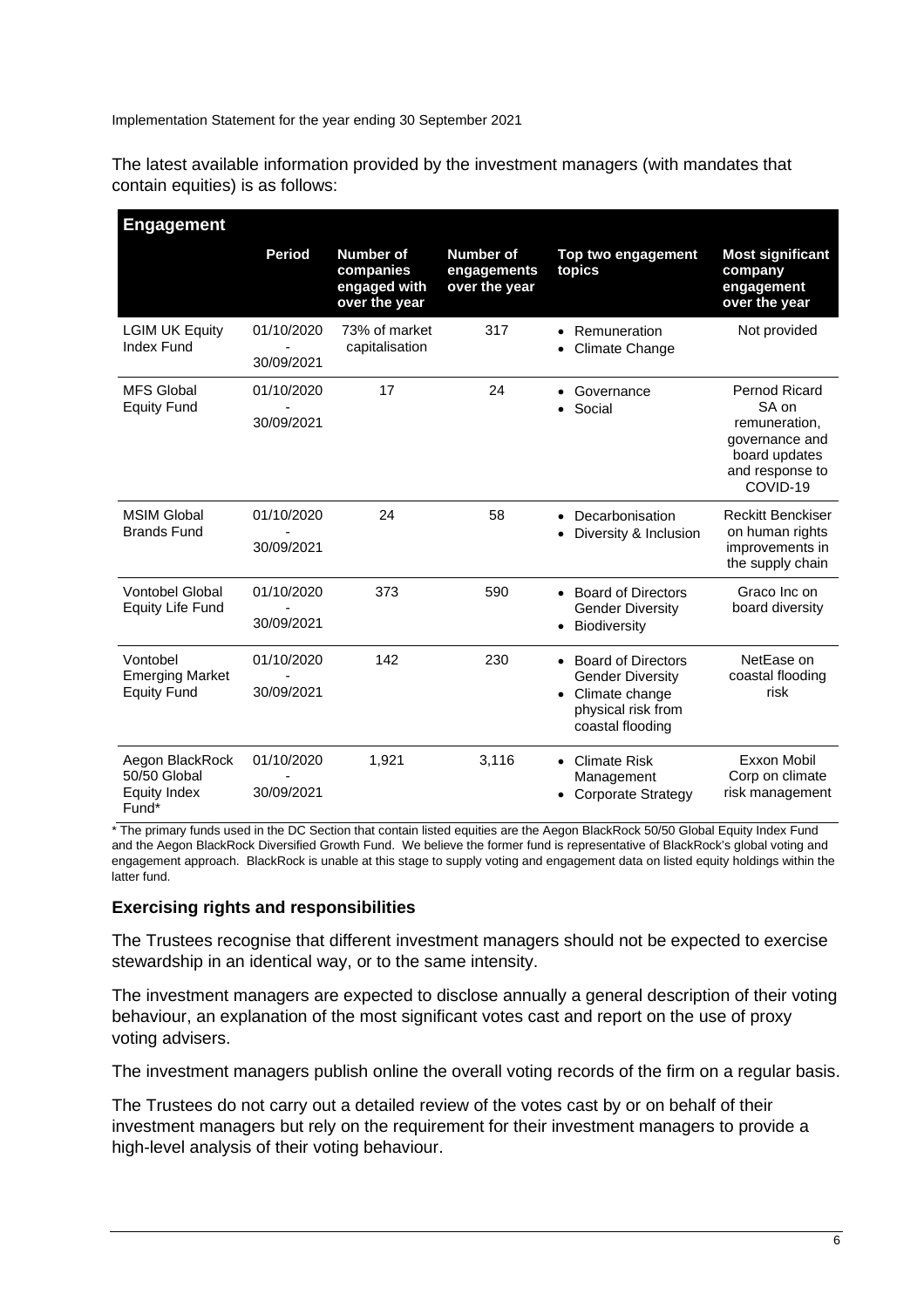The latest available information provided by the investment managers (with mandates that contain equities) is as follows:

| <b>Engagement</b>                                               |                          |                                                                |                                                  |                                                                                                                                            |                                                                                                           |
|-----------------------------------------------------------------|--------------------------|----------------------------------------------------------------|--------------------------------------------------|--------------------------------------------------------------------------------------------------------------------------------------------|-----------------------------------------------------------------------------------------------------------|
|                                                                 | <b>Period</b>            | <b>Number of</b><br>companies<br>engaged with<br>over the year | <b>Number of</b><br>engagements<br>over the year | Top two engagement<br>topics                                                                                                               | <b>Most significant</b><br>company<br>engagement<br>over the year                                         |
| <b>LGIM UK Equity</b><br><b>Index Fund</b>                      | 01/10/2020<br>30/09/2021 | 73% of market<br>capitalisation                                | 317                                              | • Remuneration<br>Climate Change                                                                                                           | Not provided                                                                                              |
| <b>MFS Global</b><br><b>Equity Fund</b>                         | 01/10/2020<br>30/09/2021 | 17                                                             | 24                                               | Governance<br>Social                                                                                                                       | Pernod Ricard<br>SA on<br>remuneration,<br>governance and<br>board updates<br>and response to<br>COVID-19 |
| <b>MSIM Global</b><br><b>Brands Fund</b>                        | 01/10/2020<br>30/09/2021 | 24                                                             | 58                                               | Decarbonisation<br>$\bullet$<br>Diversity & Inclusion                                                                                      | <b>Reckitt Benckiser</b><br>on human rights<br>improvements in<br>the supply chain                        |
| <b>Vontobel Global</b><br><b>Equity Life Fund</b>               | 01/10/2020<br>30/09/2021 | 373                                                            | 590                                              | • Board of Directors<br><b>Gender Diversity</b><br><b>Biodiversity</b>                                                                     | Graco Inc on<br>board diversity                                                                           |
| Vontobel<br><b>Emerging Market</b><br><b>Equity Fund</b>        | 01/10/2020<br>30/09/2021 | 142                                                            | 230                                              | <b>Board of Directors</b><br>$\bullet$<br><b>Gender Diversity</b><br>Climate change<br>$\bullet$<br>physical risk from<br>coastal flooding | NetEase on<br>coastal flooding<br>risk                                                                    |
| Aegon BlackRock<br>50/50 Global<br><b>Equity Index</b><br>Fund* | 01/10/2020<br>30/09/2021 | 1,921                                                          | 3,116                                            | <b>Climate Risk</b><br>Management<br><b>Corporate Strategy</b>                                                                             | Exxon Mobil<br>Corp on climate<br>risk management                                                         |

\* The primary funds used in the DC Section that contain listed equities are the Aegon BlackRock 50/50 Global Equity Index Fund and the Aegon BlackRock Diversified Growth Fund. We believe the former fund is representative of BlackRock's global voting and engagement approach. BlackRock is unable at this stage to supply voting and engagement data on listed equity holdings within the latter fund.

#### **Exercising rights and responsibilities**

The Trustees recognise that different investment managers should not be expected to exercise stewardship in an identical way, or to the same intensity.

The investment managers are expected to disclose annually a general description of their voting behaviour, an explanation of the most significant votes cast and report on the use of proxy voting advisers.

The investment managers publish online the overall voting records of the firm on a regular basis.

The Trustees do not carry out a detailed review of the votes cast by or on behalf of their investment managers but rely on the requirement for their investment managers to provide a high-level analysis of their voting behaviour.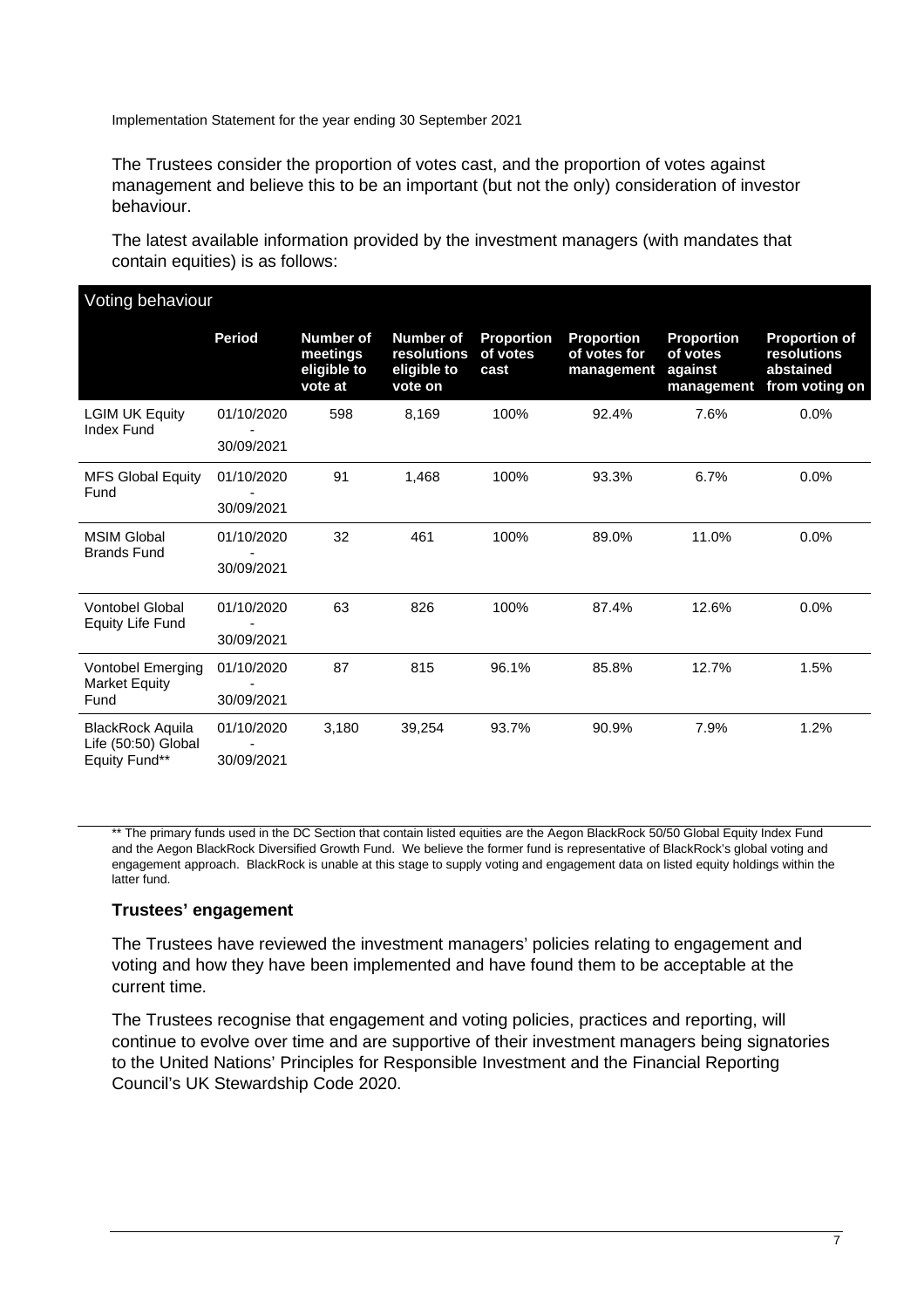The Trustees consider the proportion of votes cast, and the proportion of votes against management and believe this to be an important (but not the only) consideration of investor behaviour.

The latest available information provided by the investment managers (with mandates that contain equities) is as follows:

| Voting behaviour                                  |               |                                                 |                                                    |                                       |                                                 |                                                        |                                                                    |
|---------------------------------------------------|---------------|-------------------------------------------------|----------------------------------------------------|---------------------------------------|-------------------------------------------------|--------------------------------------------------------|--------------------------------------------------------------------|
|                                                   | <b>Period</b> | Number of<br>meetings<br>eligible to<br>vote at | Number of<br>resolutions<br>eligible to<br>vote on | <b>Proportion</b><br>of votes<br>cast | <b>Proportion</b><br>of votes for<br>management | <b>Proportion</b><br>of votes<br>against<br>management | <b>Proportion of</b><br>resolutions<br>abstained<br>from voting on |
| <b>LGIM UK Equity</b><br><b>Index Fund</b>        | 01/10/2020    | 598                                             | 8,169                                              | 100%                                  | 92.4%                                           | 7.6%                                                   | 0.0%                                                               |
|                                                   | 30/09/2021    |                                                 |                                                    |                                       |                                                 |                                                        |                                                                    |
| <b>MFS Global Equity</b><br>Fund                  | 01/10/2020    | 91                                              | 1,468                                              | 100%                                  | 93.3%                                           | 6.7%                                                   | 0.0%                                                               |
|                                                   | 30/09/2021    |                                                 |                                                    |                                       |                                                 |                                                        |                                                                    |
| <b>MSIM Global</b><br><b>Brands Fund</b>          | 01/10/2020    | 32                                              | 461                                                | 100%                                  | 89.0%                                           | 11.0%                                                  | 0.0%                                                               |
|                                                   | 30/09/2021    |                                                 |                                                    |                                       |                                                 |                                                        |                                                                    |
| <b>Vontobel Global</b><br><b>Equity Life Fund</b> | 01/10/2020    | 63                                              | 826                                                | 100%                                  | 87.4%                                           | 12.6%                                                  | 0.0%                                                               |
|                                                   | 30/09/2021    |                                                 |                                                    |                                       |                                                 |                                                        |                                                                    |
| Vontobel Emerging<br><b>Market Equity</b>         | 01/10/2020    | 87                                              | 815                                                | 96.1%                                 | 85.8%                                           | 12.7%                                                  | 1.5%                                                               |
| Fund                                              | 30/09/2021    |                                                 |                                                    |                                       |                                                 |                                                        |                                                                    |
| <b>BlackRock Aquila</b><br>Life (50:50) Global    | 01/10/2020    | 3,180                                           | 39,254                                             | 93.7%                                 | 90.9%                                           | 7.9%                                                   | 1.2%                                                               |
| Equity Fund**                                     | 30/09/2021    |                                                 |                                                    |                                       |                                                 |                                                        |                                                                    |

\*\* The primary funds used in the DC Section that contain listed equities are the Aegon BlackRock 50/50 Global Equity Index Fund and the Aegon BlackRock Diversified Growth Fund. We believe the former fund is representative of BlackRock's global voting and engagement approach. BlackRock is unable at this stage to supply voting and engagement data on listed equity holdings within the latter fund.

#### **Trustees' engagement**

The Trustees have reviewed the investment managers' policies relating to engagement and voting and how they have been implemented and have found them to be acceptable at the current time.

The Trustees recognise that engagement and voting policies, practices and reporting, will continue to evolve over time and are supportive of their investment managers being signatories to the United Nations' Principles for Responsible Investment and the Financial Reporting Council's UK Stewardship Code 2020.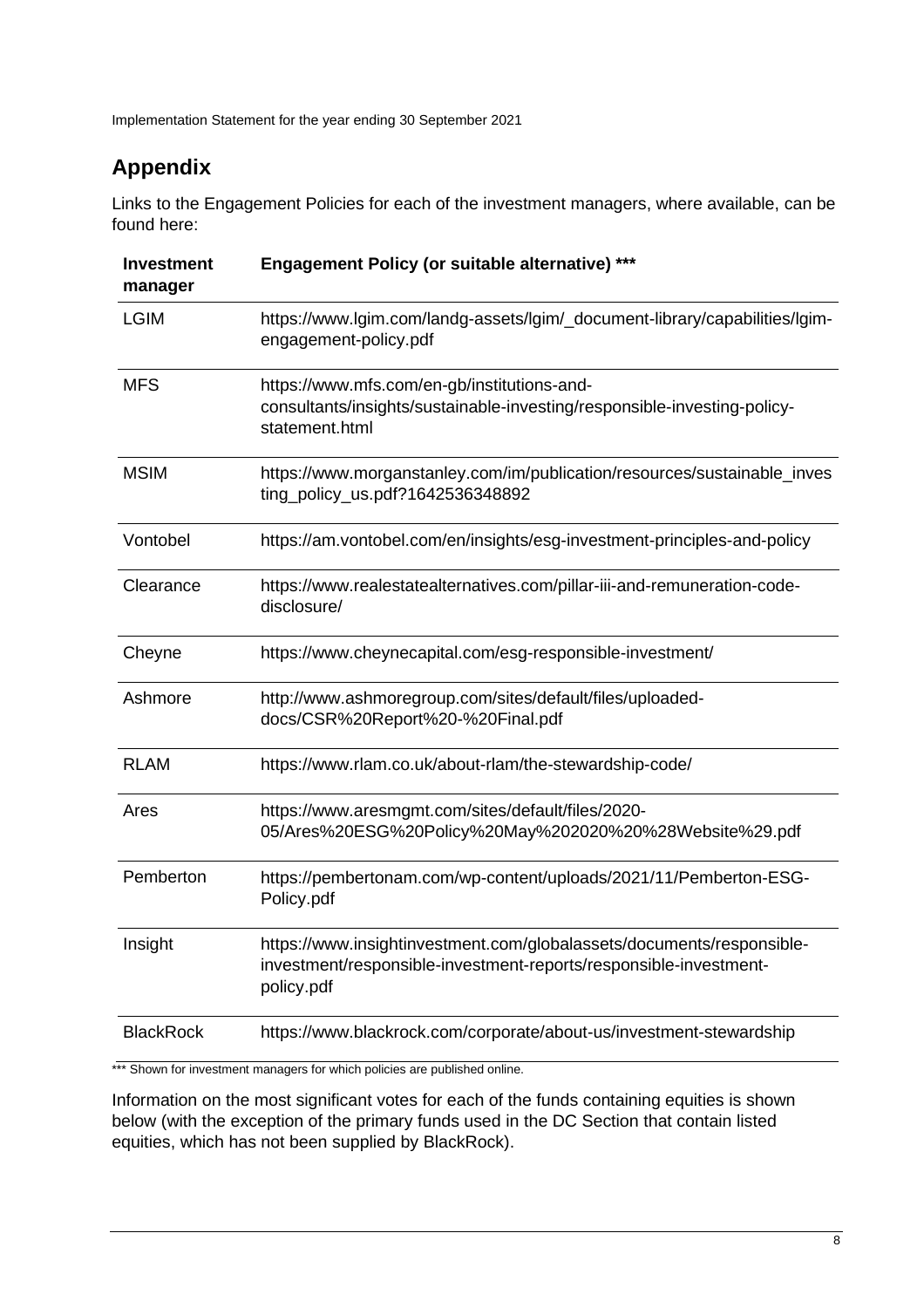## **Appendix**

Links to the Engagement Policies for each of the investment managers, where available, can be found here:

| <b>Investment</b><br>manager | Engagement Policy (or suitable alternative) ***                                                                                                          |
|------------------------------|----------------------------------------------------------------------------------------------------------------------------------------------------------|
| <b>LGIM</b>                  | https://www.lgim.com/landg-assets/lgim/_document-library/capabilities/lgim-<br>engagement-policy.pdf                                                     |
| <b>MFS</b>                   | https://www.mfs.com/en-gb/institutions-and-<br>consultants/insights/sustainable-investing/responsible-investing-policy-<br>statement.html                |
| <b>MSIM</b>                  | https://www.morganstanley.com/im/publication/resources/sustainable_inves<br>ting_policy_us.pdf?1642536348892                                             |
| Vontobel                     | https://am.vontobel.com/en/insights/esg-investment-principles-and-policy                                                                                 |
| Clearance                    | https://www.realestatealternatives.com/pillar-iii-and-remuneration-code-<br>disclosure/                                                                  |
| Cheyne                       | https://www.cheynecapital.com/esg-responsible-investment/                                                                                                |
| Ashmore                      | http://www.ashmoregroup.com/sites/default/files/uploaded-<br>docs/CSR%20Report%20-%20Final.pdf                                                           |
| <b>RLAM</b>                  | https://www.rlam.co.uk/about-rlam/the-stewardship-code/                                                                                                  |
| Ares                         | https://www.aresmgmt.com/sites/default/files/2020-<br>05/Ares%20ESG%20Policy%20May%202020%20%28Website%29.pdf                                            |
| Pemberton                    | https://pembertonam.com/wp-content/uploads/2021/11/Pemberton-ESG-<br>Policy.pdf                                                                          |
| Insight                      | https://www.insightinvestment.com/globalassets/documents/responsible-<br>investment/responsible-investment-reports/responsible-investment-<br>policy.pdf |
| <b>BlackRock</b>             | https://www.blackrock.com/corporate/about-us/investment-stewardship                                                                                      |

\*\*\* Shown for investment managers for which policies are published online.

Information on the most significant votes for each of the funds containing equities is shown below (with the exception of the primary funds used in the DC Section that contain listed equities, which has not been supplied by BlackRock).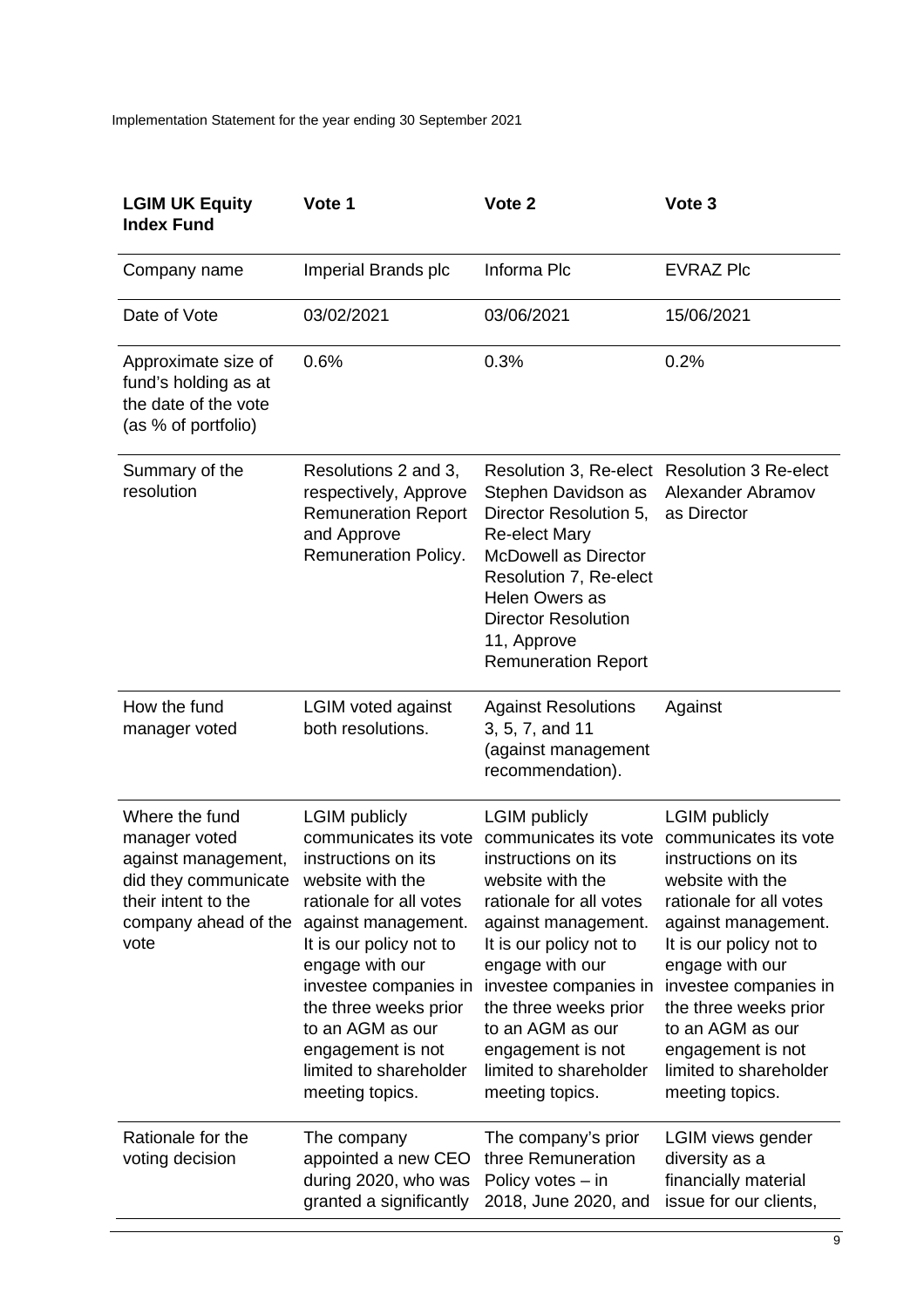| <b>LGIM UK Equity</b><br><b>Index Fund</b>                                                                                            | Vote 1                                                                                                                                                                                                                                                                                                                           | Vote <sub>2</sub>                                                                                                                                                                                                                                                                                                                | Vote <sub>3</sub>                                                                                                                                                                                                                                                                                                                |
|---------------------------------------------------------------------------------------------------------------------------------------|----------------------------------------------------------------------------------------------------------------------------------------------------------------------------------------------------------------------------------------------------------------------------------------------------------------------------------|----------------------------------------------------------------------------------------------------------------------------------------------------------------------------------------------------------------------------------------------------------------------------------------------------------------------------------|----------------------------------------------------------------------------------------------------------------------------------------------------------------------------------------------------------------------------------------------------------------------------------------------------------------------------------|
| Company name                                                                                                                          | Imperial Brands plc                                                                                                                                                                                                                                                                                                              | Informa Plc                                                                                                                                                                                                                                                                                                                      | <b>EVRAZ Plc</b>                                                                                                                                                                                                                                                                                                                 |
| Date of Vote                                                                                                                          | 03/02/2021                                                                                                                                                                                                                                                                                                                       | 03/06/2021                                                                                                                                                                                                                                                                                                                       | 15/06/2021                                                                                                                                                                                                                                                                                                                       |
| Approximate size of<br>fund's holding as at<br>the date of the vote<br>(as % of portfolio)                                            | 0.6%                                                                                                                                                                                                                                                                                                                             | 0.3%                                                                                                                                                                                                                                                                                                                             | 0.2%                                                                                                                                                                                                                                                                                                                             |
| Summary of the<br>resolution                                                                                                          | Resolutions 2 and 3,<br>respectively, Approve<br><b>Remuneration Report</b><br>and Approve<br>Remuneration Policy.                                                                                                                                                                                                               | Resolution 3, Re-elect Resolution 3 Re-elect<br>Stephen Davidson as<br>Director Resolution 5,<br><b>Re-elect Mary</b><br><b>McDowell as Director</b><br>Resolution 7, Re-elect<br><b>Helen Owers as</b><br><b>Director Resolution</b><br>11, Approve<br><b>Remuneration Report</b>                                               | Alexander Abramov<br>as Director                                                                                                                                                                                                                                                                                                 |
| How the fund<br>manager voted                                                                                                         | <b>LGIM voted against</b><br>both resolutions.                                                                                                                                                                                                                                                                                   | <b>Against Resolutions</b><br>3, 5, 7, and 11<br>(against management<br>recommendation).                                                                                                                                                                                                                                         | Against                                                                                                                                                                                                                                                                                                                          |
| Where the fund<br>manager voted<br>against management,<br>did they communicate<br>their intent to the<br>company ahead of the<br>vote | <b>LGIM</b> publicly<br>communicates its vote<br>instructions on its<br>website with the<br>rationale for all votes<br>against management.<br>It is our policy not to<br>engage with our<br>investee companies in<br>the three weeks prior<br>to an AGM as our<br>engagement is not<br>limited to shareholder<br>meeting topics. | <b>LGIM</b> publicly<br>communicates its vote<br>instructions on its<br>website with the<br>rationale for all votes<br>against management.<br>It is our policy not to<br>engage with our<br>investee companies in<br>the three weeks prior<br>to an AGM as our<br>engagement is not<br>limited to shareholder<br>meeting topics. | <b>LGIM</b> publicly<br>communicates its vote<br>instructions on its<br>website with the<br>rationale for all votes<br>against management.<br>It is our policy not to<br>engage with our<br>investee companies in<br>the three weeks prior<br>to an AGM as our<br>engagement is not<br>limited to shareholder<br>meeting topics. |
| Rationale for the<br>voting decision                                                                                                  | The company<br>appointed a new CEO<br>during 2020, who was<br>granted a significantly                                                                                                                                                                                                                                            | The company's prior<br>three Remuneration<br>Policy votes - in<br>2018, June 2020, and                                                                                                                                                                                                                                           | LGIM views gender<br>diversity as a<br>financially material<br>issue for our clients,                                                                                                                                                                                                                                            |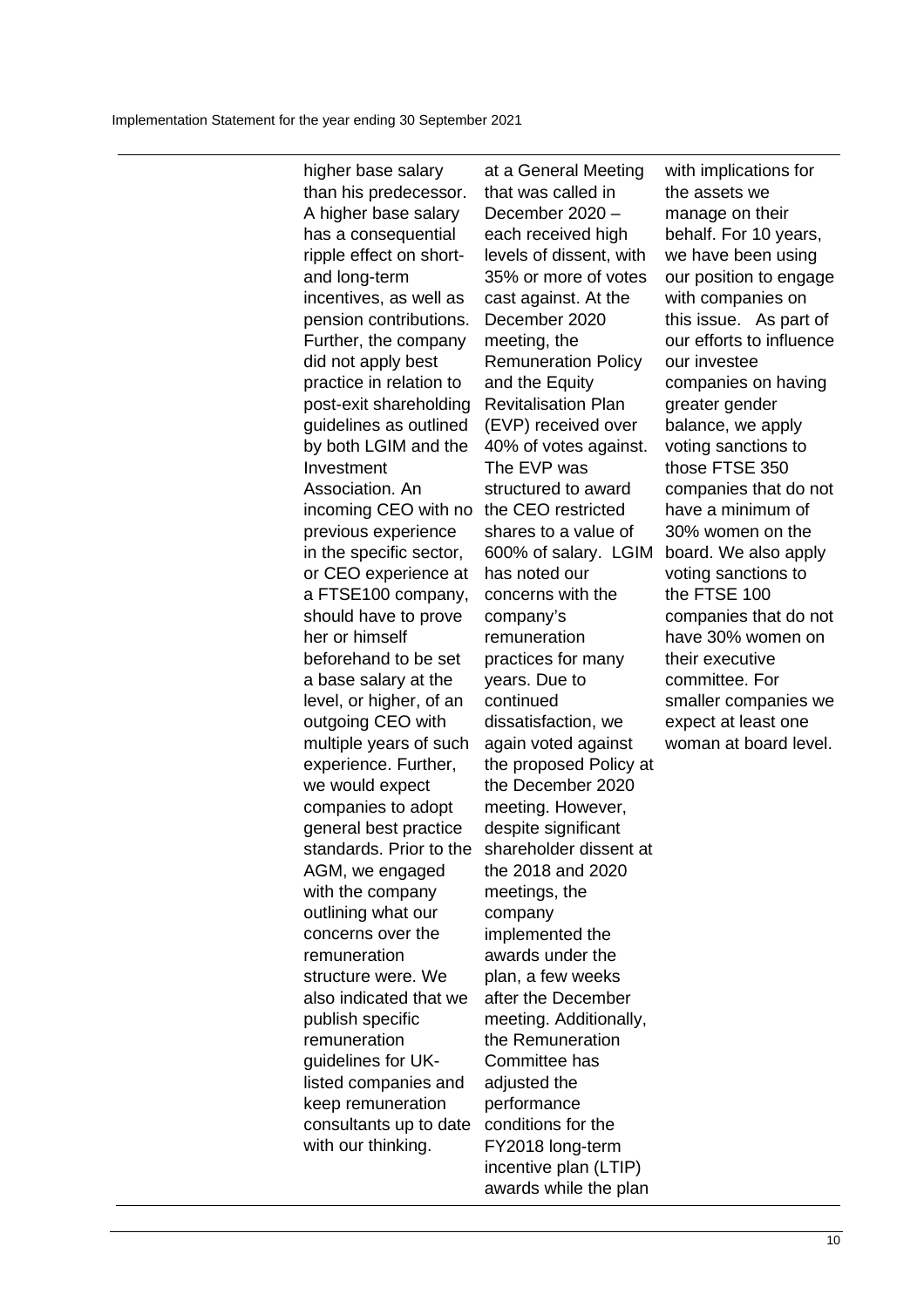higher base salary than his predecessor. A higher base salary has a consequential ripple effect on shortand long-term incentives, as well as pension contributions. Further, the company did not apply best practice in relation to post-exit shareholding guidelines as outlined by both LGIM and the Investment Association. An incoming CEO with no the CEO restricted previous experience in the specific sector, or CEO experience at a FTSE100 company, should have to prove her or himself beforehand to be set a base salary at the level, or higher, of an outgoing CEO with multiple years of such experience. Further, we would expect companies to adopt general best practice standards. Prior to the AGM, we engaged with the company outlining what our concerns over the remuneration structure were. We also indicated that we publish specific remuneration guidelines for UKlisted companies and keep remuneration consultants up to date with our thinking.

at a General Meeting that was called in December 2020 – each received high levels of dissent, with 35% or more of votes cast against. At the December 2020 meeting, the Remuneration Policy and the Equity Revitalisation Plan (EVP) received over 40% of votes against. The EVP was structured to award shares to a value of 600% of salary. LGIM has noted our concerns with the company's remuneration practices for many years. Due to continued dissatisfaction, we again voted against the proposed Policy at the December 2020 meeting. However, despite significant shareholder dissent at the 2018 and 2020 meetings, the company implemented the awards under the plan, a few weeks after the December meeting. Additionally, the Remuneration Committee has adjusted the performance conditions for the FY2018 long-term incentive plan (LTIP) awards while the plan

with implications for the assets we manage on their behalf. For 10 years, we have been using our position to engage with companies on this issue. As part of our efforts to influence our investee companies on having greater gender balance, we apply voting sanctions to those FTSE 350 companies that do not have a minimum of 30% women on the board. We also apply voting sanctions to the FTSE 100 companies that do not have 30% women on their executive committee. For smaller companies we expect at least one woman at board level.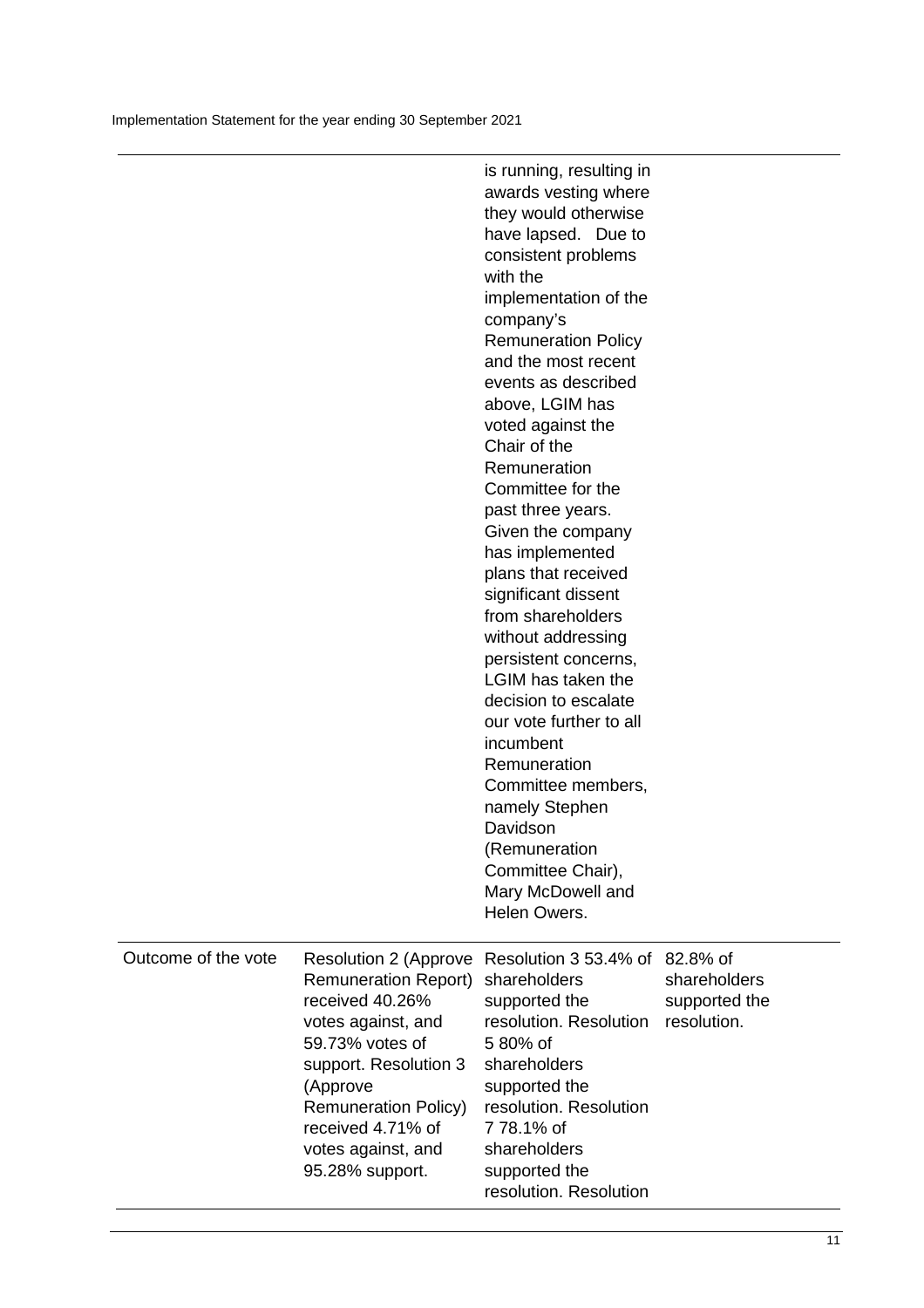|                     |                                                                                                                                                                                                                                                           | is running, resulting in<br>awards vesting where<br>they would otherwise<br>have lapsed. Due to<br>consistent problems<br>with the<br>implementation of the<br>company's<br><b>Remuneration Policy</b><br>and the most recent<br>events as described<br>above, LGIM has<br>voted against the<br>Chair of the<br>Remuneration<br>Committee for the<br>past three years.<br>Given the company<br>has implemented<br>plans that received<br>significant dissent<br>from shareholders<br>without addressing<br>persistent concerns,<br>LGIM has taken the<br>decision to escalate<br>our vote further to all<br>incumbent<br>Remuneration<br>Committee members,<br>namely Stephen<br>Davidson<br>(Remuneration<br>Committee Chair),<br>Mary McDowell and<br>Helen Owers. |                                              |
|---------------------|-----------------------------------------------------------------------------------------------------------------------------------------------------------------------------------------------------------------------------------------------------------|----------------------------------------------------------------------------------------------------------------------------------------------------------------------------------------------------------------------------------------------------------------------------------------------------------------------------------------------------------------------------------------------------------------------------------------------------------------------------------------------------------------------------------------------------------------------------------------------------------------------------------------------------------------------------------------------------------------------------------------------------------------------|----------------------------------------------|
| Outcome of the vote | <b>Resolution 2 (Approve</b><br><b>Remuneration Report)</b><br>received 40.26%<br>votes against, and<br>59.73% votes of<br>support. Resolution 3<br>(Approve<br><b>Remuneration Policy)</b><br>received 4.71% of<br>votes against, and<br>95.28% support. | Resolution 3 53.4% of 82.8% of<br>shareholders<br>supported the<br>resolution. Resolution<br>5 80% of<br>shareholders<br>supported the<br>resolution. Resolution<br>778.1% of<br>shareholders<br>supported the<br>resolution. Resolution                                                                                                                                                                                                                                                                                                                                                                                                                                                                                                                             | shareholders<br>supported the<br>resolution. |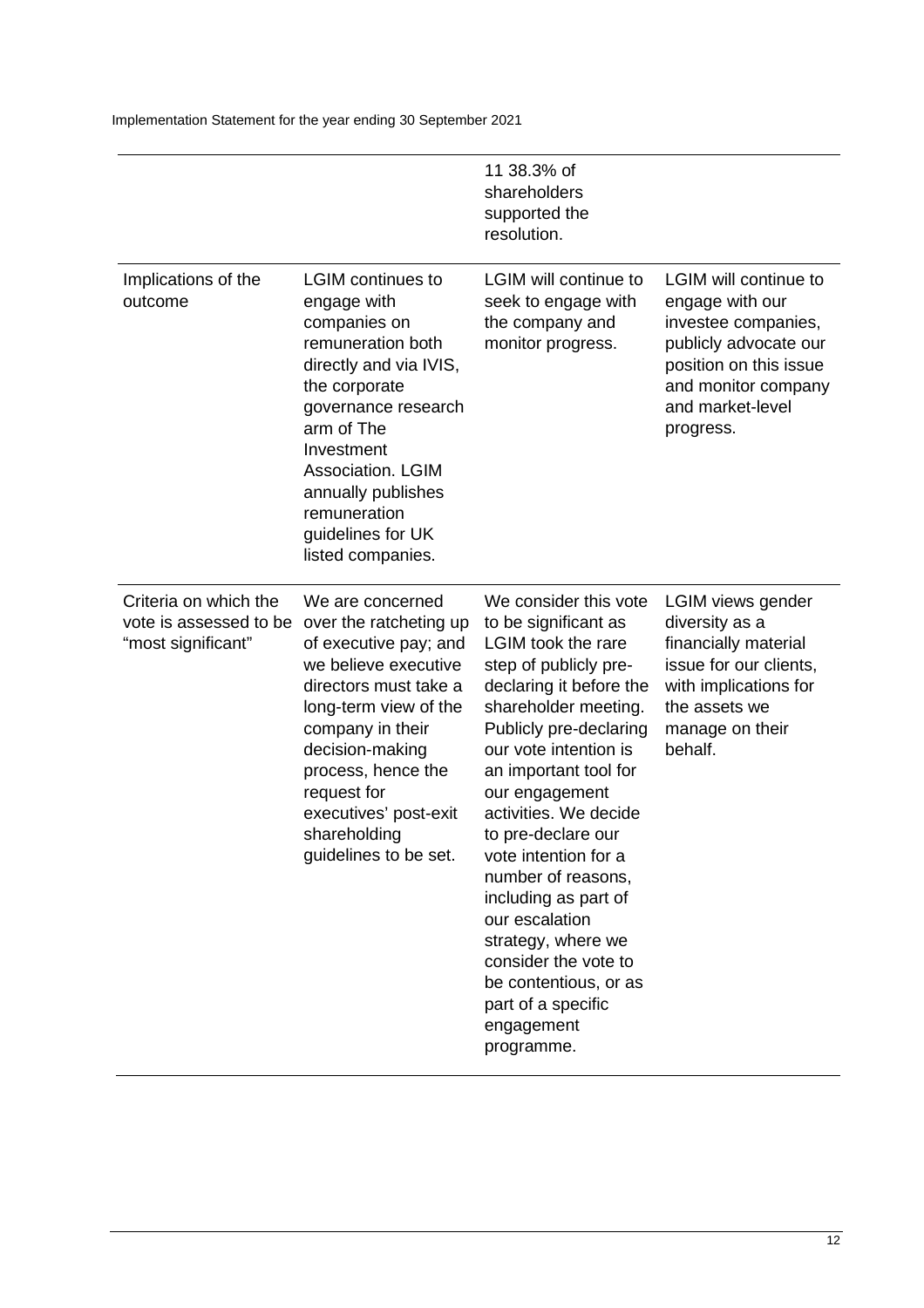|                                                                       |                                                                                                                                                                                                                                                                                             | 11 38.3% of<br>shareholders<br>supported the<br>resolution.                                                                                                                                                                                                                                                                                                                                                                                                                                                          |                                                                                                                                                                                   |
|-----------------------------------------------------------------------|---------------------------------------------------------------------------------------------------------------------------------------------------------------------------------------------------------------------------------------------------------------------------------------------|----------------------------------------------------------------------------------------------------------------------------------------------------------------------------------------------------------------------------------------------------------------------------------------------------------------------------------------------------------------------------------------------------------------------------------------------------------------------------------------------------------------------|-----------------------------------------------------------------------------------------------------------------------------------------------------------------------------------|
| Implications of the<br>outcome                                        | <b>LGIM</b> continues to<br>engage with<br>companies on<br>remuneration both<br>directly and via IVIS,<br>the corporate<br>governance research<br>arm of The<br>Investment<br>Association. LGIM<br>annually publishes<br>remuneration<br>guidelines for UK<br>listed companies.             | <b>LGIM will continue to</b><br>seek to engage with<br>the company and<br>monitor progress.                                                                                                                                                                                                                                                                                                                                                                                                                          | <b>LGIM will continue to</b><br>engage with our<br>investee companies,<br>publicly advocate our<br>position on this issue<br>and monitor company<br>and market-level<br>progress. |
| Criteria on which the<br>vote is assessed to be<br>"most significant" | We are concerned<br>over the ratcheting up<br>of executive pay; and<br>we believe executive<br>directors must take a<br>long-term view of the<br>company in their<br>decision-making<br>process, hence the<br>request for<br>executives' post-exit<br>shareholding<br>guidelines to be set. | We consider this vote<br>to be significant as<br><b>LGIM</b> took the rare<br>step of publicly pre-<br>declaring it before the<br>shareholder meeting.<br>Publicly pre-declaring<br>our vote intention is<br>an important tool for<br>our engagement<br>activities. We decide<br>to pre-declare our<br>vote intention for a<br>number of reasons,<br>including as part of<br>our escalation<br>strategy, where we<br>consider the vote to<br>be contentious, or as<br>part of a specific<br>engagement<br>programme. | LGIM views gender<br>diversity as a<br>financially material<br>issue for our clients,<br>with implications for<br>the assets we<br>manage on their<br>behalf.                     |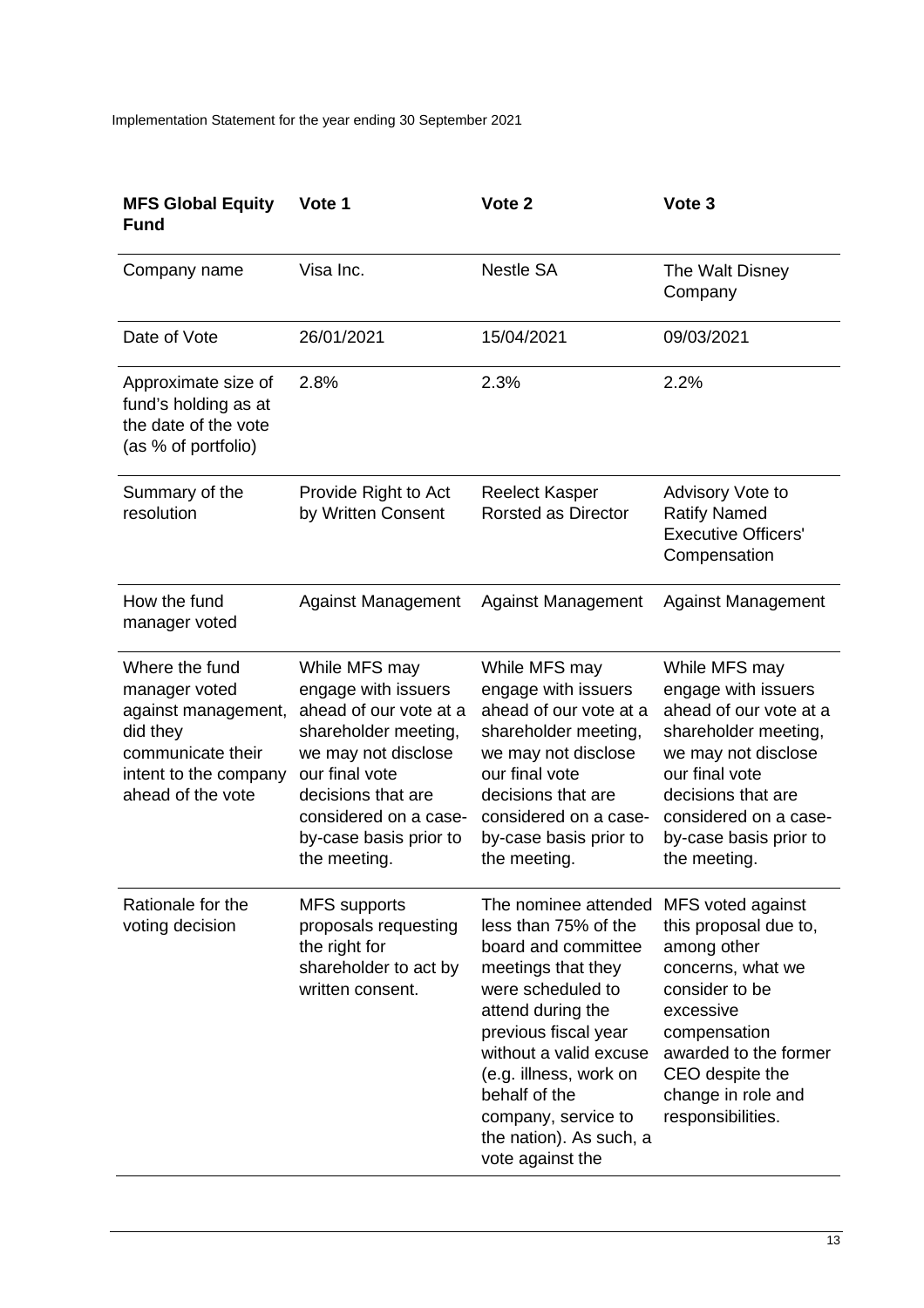| <b>MFS Global Equity</b><br><b>Fund</b>                                                                                               | Vote 1                                                                                                                                                                                                                   | Vote 2                                                                                                                                                                                                                                                                                                 | Vote 3                                                                                                                                                                                                                   |
|---------------------------------------------------------------------------------------------------------------------------------------|--------------------------------------------------------------------------------------------------------------------------------------------------------------------------------------------------------------------------|--------------------------------------------------------------------------------------------------------------------------------------------------------------------------------------------------------------------------------------------------------------------------------------------------------|--------------------------------------------------------------------------------------------------------------------------------------------------------------------------------------------------------------------------|
| Company name                                                                                                                          | Visa Inc.                                                                                                                                                                                                                | <b>Nestle SA</b>                                                                                                                                                                                                                                                                                       | The Walt Disney<br>Company                                                                                                                                                                                               |
| Date of Vote                                                                                                                          | 26/01/2021                                                                                                                                                                                                               | 15/04/2021                                                                                                                                                                                                                                                                                             | 09/03/2021                                                                                                                                                                                                               |
| Approximate size of<br>fund's holding as at<br>the date of the vote<br>(as % of portfolio)                                            | 2.8%                                                                                                                                                                                                                     | 2.3%                                                                                                                                                                                                                                                                                                   | 2.2%                                                                                                                                                                                                                     |
| Summary of the<br>resolution                                                                                                          | Provide Right to Act<br>by Written Consent                                                                                                                                                                               | <b>Reelect Kasper</b><br><b>Rorsted as Director</b>                                                                                                                                                                                                                                                    | Advisory Vote to<br><b>Ratify Named</b><br><b>Executive Officers'</b><br>Compensation                                                                                                                                    |
| How the fund<br>manager voted                                                                                                         | <b>Against Management</b>                                                                                                                                                                                                | <b>Against Management</b>                                                                                                                                                                                                                                                                              | <b>Against Management</b>                                                                                                                                                                                                |
| Where the fund<br>manager voted<br>against management,<br>did they<br>communicate their<br>intent to the company<br>ahead of the vote | While MFS may<br>engage with issuers<br>ahead of our vote at a<br>shareholder meeting,<br>we may not disclose<br>our final vote<br>decisions that are<br>considered on a case-<br>by-case basis prior to<br>the meeting. | While MFS may<br>engage with issuers<br>ahead of our vote at a<br>shareholder meeting,<br>we may not disclose<br>our final vote<br>decisions that are<br>considered on a case-<br>by-case basis prior to<br>the meeting.                                                                               | While MFS may<br>engage with issuers<br>ahead of our vote at a<br>shareholder meeting,<br>we may not disclose<br>our final vote<br>decisions that are<br>considered on a case-<br>by-case basis prior to<br>the meeting. |
| Rationale for the<br>voting decision                                                                                                  | <b>MFS</b> supports<br>proposals requesting<br>the right for<br>shareholder to act by<br>written consent.                                                                                                                | The nominee attended<br>less than 75% of the<br>board and committee<br>meetings that they<br>were scheduled to<br>attend during the<br>previous fiscal year<br>without a valid excuse<br>(e.g. illness, work on<br>behalf of the<br>company, service to<br>the nation). As such, a<br>vote against the | MFS voted against<br>this proposal due to,<br>among other<br>concerns, what we<br>consider to be<br>excessive<br>compensation<br>awarded to the former<br>CEO despite the<br>change in role and<br>responsibilities.     |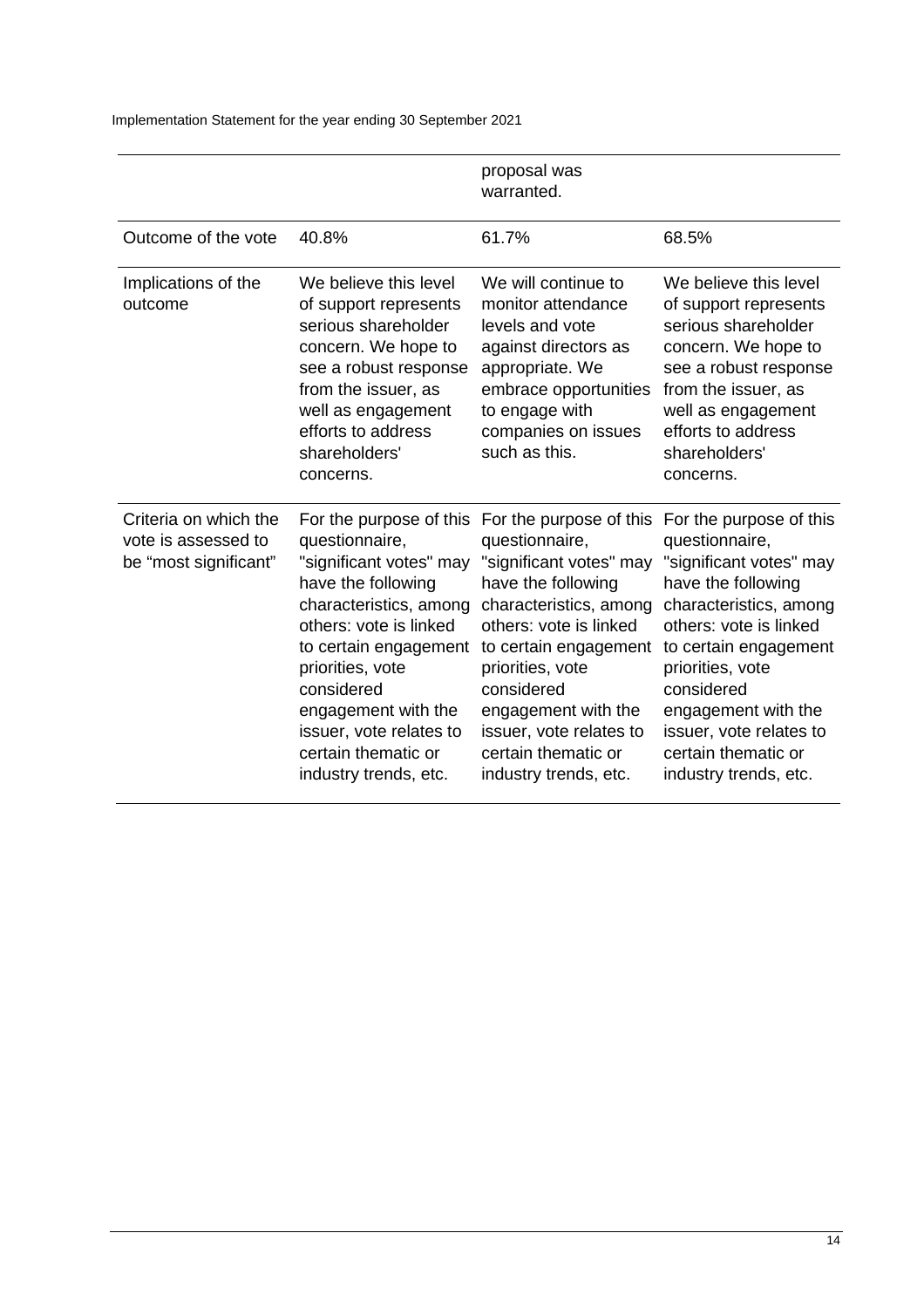|                                                                       |                                                                                                                                                                                                                                                                                  | proposal was<br>warranted.                                                                                                                                                                                                                                                                                                          |                                                                                                                                                                                                                                                                                                             |
|-----------------------------------------------------------------------|----------------------------------------------------------------------------------------------------------------------------------------------------------------------------------------------------------------------------------------------------------------------------------|-------------------------------------------------------------------------------------------------------------------------------------------------------------------------------------------------------------------------------------------------------------------------------------------------------------------------------------|-------------------------------------------------------------------------------------------------------------------------------------------------------------------------------------------------------------------------------------------------------------------------------------------------------------|
| Outcome of the vote                                                   | 40.8%                                                                                                                                                                                                                                                                            | 61.7%                                                                                                                                                                                                                                                                                                                               | 68.5%                                                                                                                                                                                                                                                                                                       |
| Implications of the<br>outcome                                        | We believe this level<br>of support represents<br>serious shareholder<br>concern. We hope to<br>see a robust response<br>from the issuer, as<br>well as engagement<br>efforts to address<br>shareholders'<br>concerns.                                                           | We will continue to<br>monitor attendance<br>levels and vote<br>against directors as<br>appropriate. We<br>embrace opportunities<br>to engage with<br>companies on issues<br>such as this.                                                                                                                                          | We believe this level<br>of support represents<br>serious shareholder<br>concern. We hope to<br>see a robust response<br>from the issuer, as<br>well as engagement<br>efforts to address<br>shareholders'<br>concerns.                                                                                      |
| Criteria on which the<br>vote is assessed to<br>be "most significant" | questionnaire,<br>"significant votes" may<br>have the following<br>characteristics, among<br>others: vote is linked<br>to certain engagement<br>priorities, vote<br>considered<br>engagement with the<br>issuer, vote relates to<br>certain thematic or<br>industry trends, etc. | For the purpose of this For the purpose of this<br>questionnaire,<br>"significant votes" may<br>have the following<br>characteristics, among<br>others: vote is linked<br>to certain engagement<br>priorities, vote<br>considered<br>engagement with the<br>issuer, vote relates to<br>certain thematic or<br>industry trends, etc. | For the purpose of this<br>questionnaire,<br>"significant votes" may<br>have the following<br>characteristics, among<br>others: vote is linked<br>to certain engagement<br>priorities, vote<br>considered<br>engagement with the<br>issuer, vote relates to<br>certain thematic or<br>industry trends, etc. |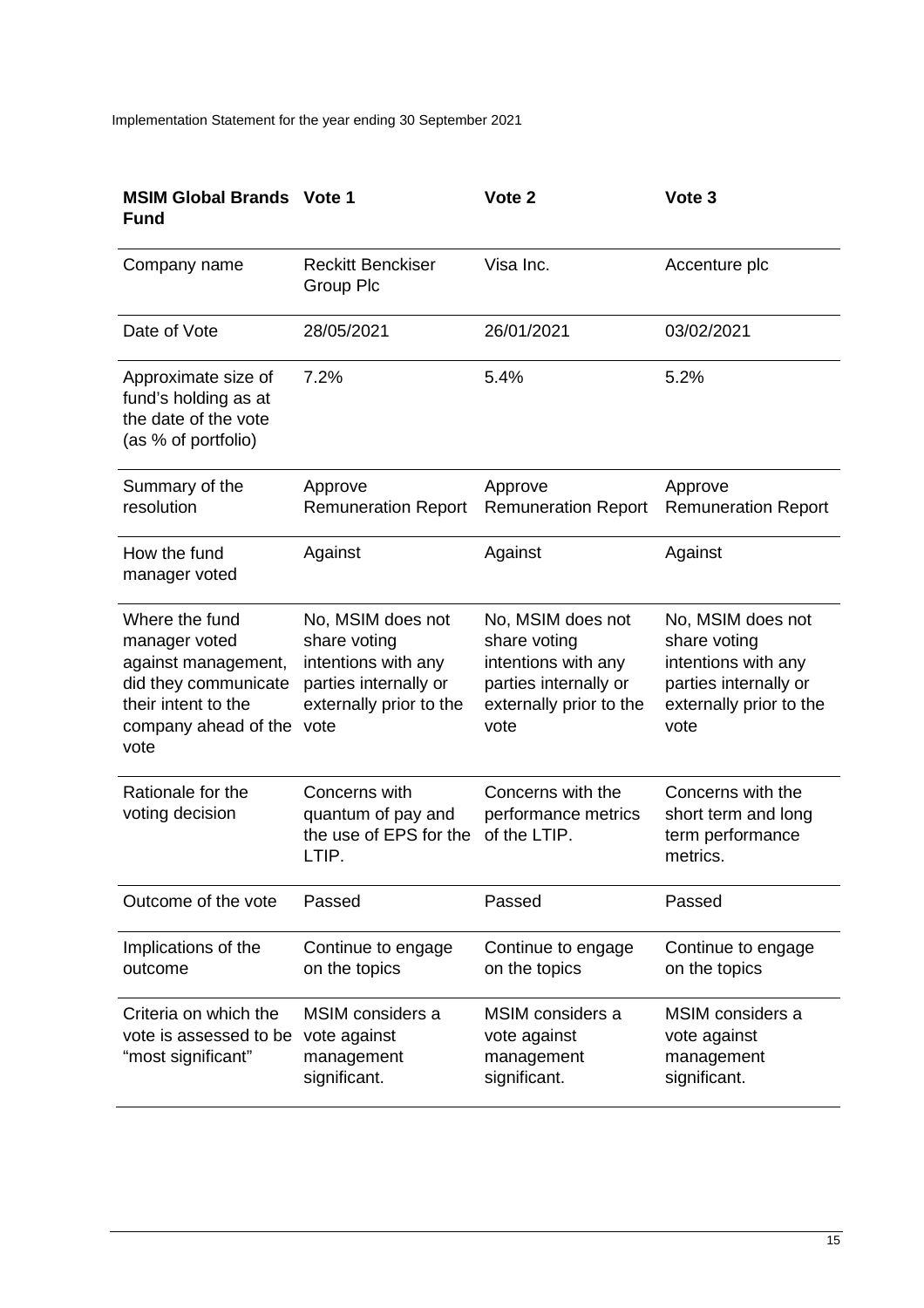| <b>MSIM Global Brands Vote 1</b><br><b>Fund</b>                                                                                       |                                                                                                                      | Vote 2                                                                                                               | Vote <sub>3</sub>                                                                                                    |
|---------------------------------------------------------------------------------------------------------------------------------------|----------------------------------------------------------------------------------------------------------------------|----------------------------------------------------------------------------------------------------------------------|----------------------------------------------------------------------------------------------------------------------|
| Company name                                                                                                                          | <b>Reckitt Benckiser</b><br>Group Plc                                                                                | Visa Inc.                                                                                                            | Accenture plc                                                                                                        |
| Date of Vote                                                                                                                          | 28/05/2021                                                                                                           | 26/01/2021                                                                                                           | 03/02/2021                                                                                                           |
| Approximate size of<br>fund's holding as at<br>the date of the vote<br>(as % of portfolio)                                            | 7.2%                                                                                                                 | 5.4%                                                                                                                 | 5.2%                                                                                                                 |
| Summary of the<br>resolution                                                                                                          | Approve<br><b>Remuneration Report</b>                                                                                | Approve<br><b>Remuneration Report</b>                                                                                | Approve<br><b>Remuneration Report</b>                                                                                |
| How the fund<br>manager voted                                                                                                         | Against                                                                                                              | Against                                                                                                              | Against                                                                                                              |
| Where the fund<br>manager voted<br>against management,<br>did they communicate<br>their intent to the<br>company ahead of the<br>vote | No, MSIM does not<br>share voting<br>intentions with any<br>parties internally or<br>externally prior to the<br>vote | No, MSIM does not<br>share voting<br>intentions with any<br>parties internally or<br>externally prior to the<br>vote | No, MSIM does not<br>share voting<br>intentions with any<br>parties internally or<br>externally prior to the<br>vote |
| Rationale for the<br>voting decision                                                                                                  | Concerns with<br>quantum of pay and<br>the use of EPS for the<br>LTIP.                                               | Concerns with the<br>performance metrics<br>of the LTIP.                                                             | Concerns with the<br>short term and long<br>term performance<br>metrics.                                             |
| Outcome of the vote                                                                                                                   | Passed                                                                                                               | Passed                                                                                                               | Passed                                                                                                               |
| Implications of the<br>outcome                                                                                                        | Continue to engage<br>on the topics                                                                                  | Continue to engage<br>on the topics                                                                                  | Continue to engage<br>on the topics                                                                                  |
| Criteria on which the<br>vote is assessed to be<br>"most significant"                                                                 | MSIM considers a<br>vote against<br>management<br>significant.                                                       | MSIM considers a<br>vote against<br>management<br>significant.                                                       | MSIM considers a<br>vote against<br>management<br>significant.                                                       |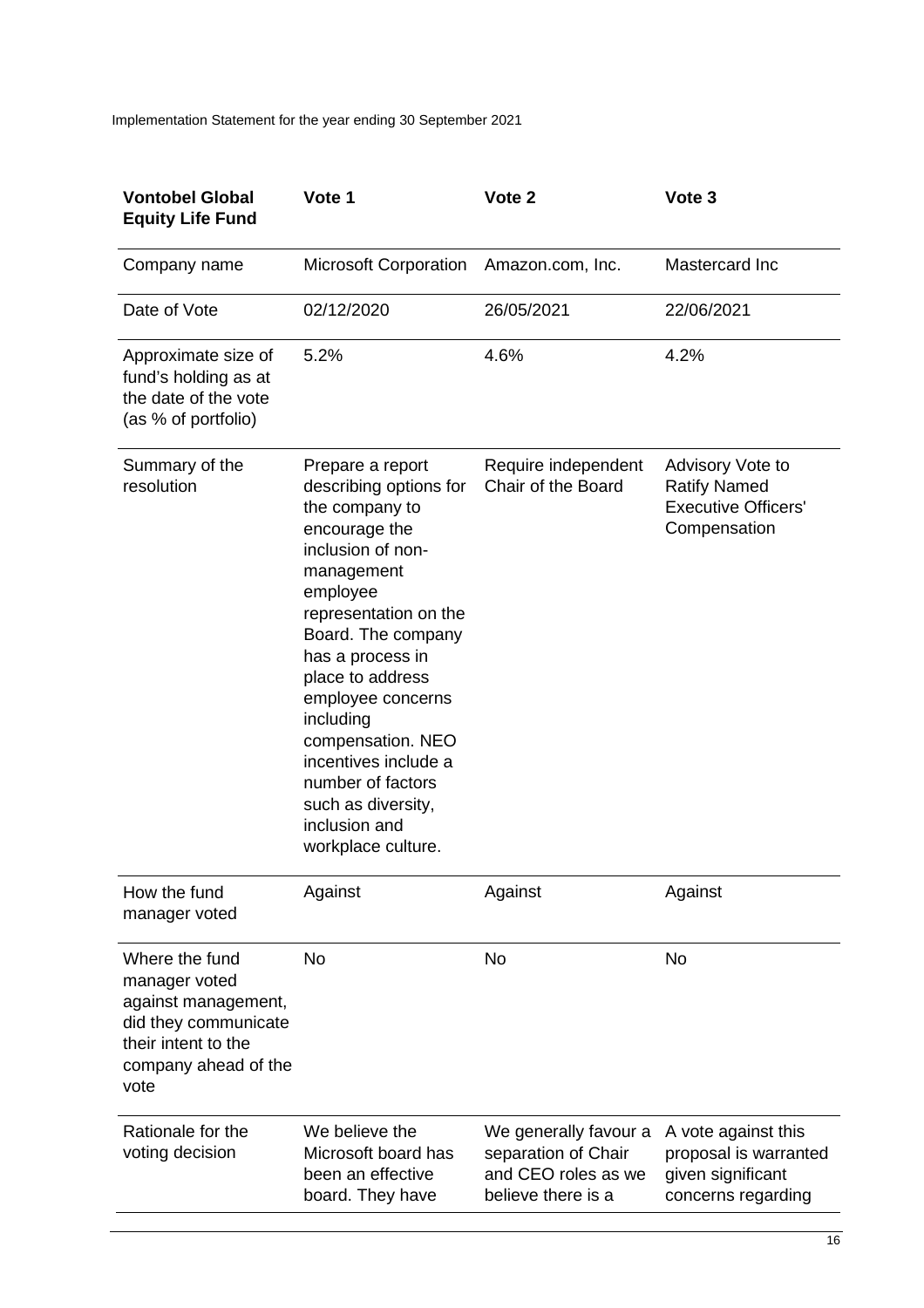| <b>Vontobel Global</b><br><b>Equity Life Fund</b>                                                                                     | Vote 1                                                                                                                                                                                                                                                                                                                                                                               | Vote <sub>2</sub>                                                                         | Vote 3                                                                                  |
|---------------------------------------------------------------------------------------------------------------------------------------|--------------------------------------------------------------------------------------------------------------------------------------------------------------------------------------------------------------------------------------------------------------------------------------------------------------------------------------------------------------------------------------|-------------------------------------------------------------------------------------------|-----------------------------------------------------------------------------------------|
| Company name                                                                                                                          | <b>Microsoft Corporation</b>                                                                                                                                                                                                                                                                                                                                                         | Amazon.com, Inc.                                                                          | Mastercard Inc                                                                          |
| Date of Vote                                                                                                                          | 02/12/2020                                                                                                                                                                                                                                                                                                                                                                           | 26/05/2021                                                                                | 22/06/2021                                                                              |
| Approximate size of<br>fund's holding as at<br>the date of the vote<br>(as % of portfolio)                                            | 5.2%                                                                                                                                                                                                                                                                                                                                                                                 | 4.6%                                                                                      | 4.2%                                                                                    |
| Summary of the<br>resolution                                                                                                          | Prepare a report<br>describing options for<br>the company to<br>encourage the<br>inclusion of non-<br>management<br>employee<br>representation on the<br>Board. The company<br>has a process in<br>place to address<br>employee concerns<br>including<br>compensation. NEO<br>incentives include a<br>number of factors<br>such as diversity,<br>inclusion and<br>workplace culture. | Require independent<br>Chair of the Board                                                 | Advisory Vote to<br><b>Ratify Named</b><br><b>Executive Officers'</b><br>Compensation   |
| How the fund<br>manager voted                                                                                                         | Against                                                                                                                                                                                                                                                                                                                                                                              | Against                                                                                   | Against                                                                                 |
| Where the fund<br>manager voted<br>against management,<br>did they communicate<br>their intent to the<br>company ahead of the<br>vote | <b>No</b>                                                                                                                                                                                                                                                                                                                                                                            | <b>No</b>                                                                                 | <b>No</b>                                                                               |
| Rationale for the<br>voting decision                                                                                                  | We believe the<br>Microsoft board has<br>been an effective<br>board. They have                                                                                                                                                                                                                                                                                                       | We generally favour a<br>separation of Chair<br>and CEO roles as we<br>believe there is a | A vote against this<br>proposal is warranted<br>given significant<br>concerns regarding |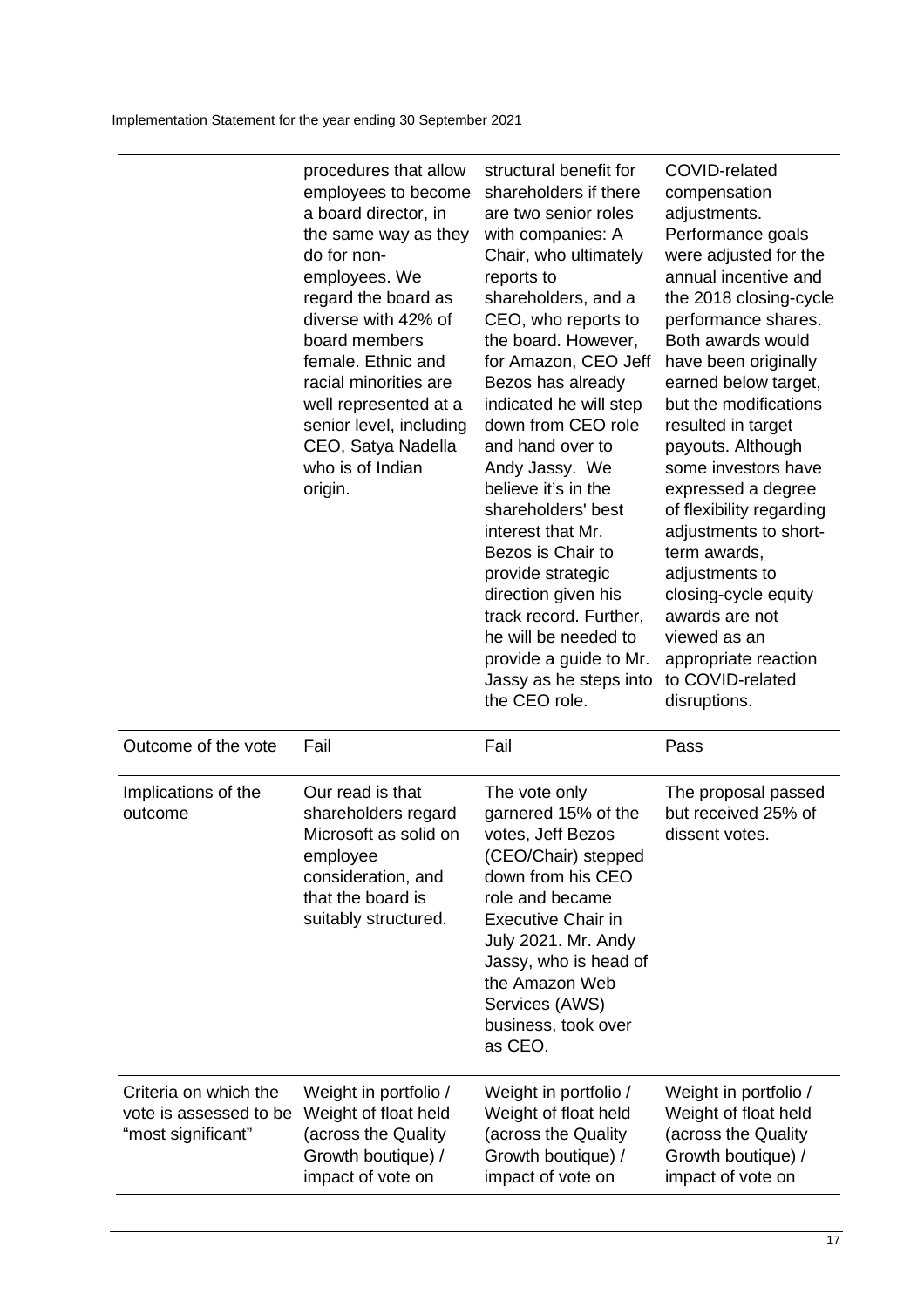| structural benefit for<br>COVID-related<br>procedures that allow<br>employees to become<br>shareholders if there<br>compensation<br>a board director, in<br>are two senior roles<br>adjustments.<br>Performance goals<br>the same way as they<br>with companies: A<br>do for non-<br>Chair, who ultimately<br>were adjusted for the<br>annual incentive and<br>employees. We<br>reports to<br>regard the board as<br>shareholders, and a<br>the 2018 closing-cycle<br>diverse with 42% of<br>CEO, who reports to<br>performance shares.<br>Both awards would<br>board members<br>the board. However,<br>female. Ethnic and<br>for Amazon, CEO Jeff<br>have been originally<br>racial minorities are<br>Bezos has already<br>earned below target,<br>but the modifications<br>indicated he will step<br>well represented at a<br>down from CEO role<br>senior level, including<br>resulted in target<br>CEO, Satya Nadella<br>and hand over to<br>payouts. Although<br>who is of Indian<br>some investors have<br>Andy Jassy. We<br>believe it's in the<br>origin.<br>expressed a degree<br>shareholders' best<br>of flexibility regarding<br>interest that Mr.<br>adjustments to short-<br>Bezos is Chair to<br>term awards,<br>provide strategic<br>adjustments to<br>direction given his<br>closing-cycle equity<br>track record. Further,<br>awards are not<br>he will be needed to<br>viewed as an<br>provide a guide to Mr.<br>appropriate reaction<br>to COVID-related<br>Jassy as he steps into<br>the CEO role.<br>disruptions. |  |  |
|-----------------------------------------------------------------------------------------------------------------------------------------------------------------------------------------------------------------------------------------------------------------------------------------------------------------------------------------------------------------------------------------------------------------------------------------------------------------------------------------------------------------------------------------------------------------------------------------------------------------------------------------------------------------------------------------------------------------------------------------------------------------------------------------------------------------------------------------------------------------------------------------------------------------------------------------------------------------------------------------------------------------------------------------------------------------------------------------------------------------------------------------------------------------------------------------------------------------------------------------------------------------------------------------------------------------------------------------------------------------------------------------------------------------------------------------------------------------------------------------------------------------------------------------|--|--|
|                                                                                                                                                                                                                                                                                                                                                                                                                                                                                                                                                                                                                                                                                                                                                                                                                                                                                                                                                                                                                                                                                                                                                                                                                                                                                                                                                                                                                                                                                                                                         |  |  |

| Outcome of the vote                                                   | Fail                                                                                                                                            | Fail                                                                                                                                                                                                                                                                        | Pass                                                                                                            |
|-----------------------------------------------------------------------|-------------------------------------------------------------------------------------------------------------------------------------------------|-----------------------------------------------------------------------------------------------------------------------------------------------------------------------------------------------------------------------------------------------------------------------------|-----------------------------------------------------------------------------------------------------------------|
| Implications of the<br>outcome                                        | Our read is that<br>shareholders regard<br>Microsoft as solid on<br>employee<br>consideration, and<br>that the board is<br>suitably structured. | The vote only<br>garnered 15% of the<br>votes, Jeff Bezos<br>(CEO/Chair) stepped<br>down from his CEO<br>role and became<br><b>Executive Chair in</b><br>July 2021. Mr. Andy<br>Jassy, who is head of<br>the Amazon Web<br>Services (AWS)<br>business, took over<br>as CEO. | The proposal passed<br>but received 25% of<br>dissent votes.                                                    |
| Criteria on which the<br>vote is assessed to be<br>"most significant" | Weight in portfolio /<br>Weight of float held<br>(across the Quality<br>Growth boutique) /<br>impact of vote on                                 | Weight in portfolio /<br>Weight of float held<br>(across the Quality<br>Growth boutique) /<br>impact of vote on                                                                                                                                                             | Weight in portfolio /<br>Weight of float held<br>(across the Quality<br>Growth boutique) /<br>impact of vote on |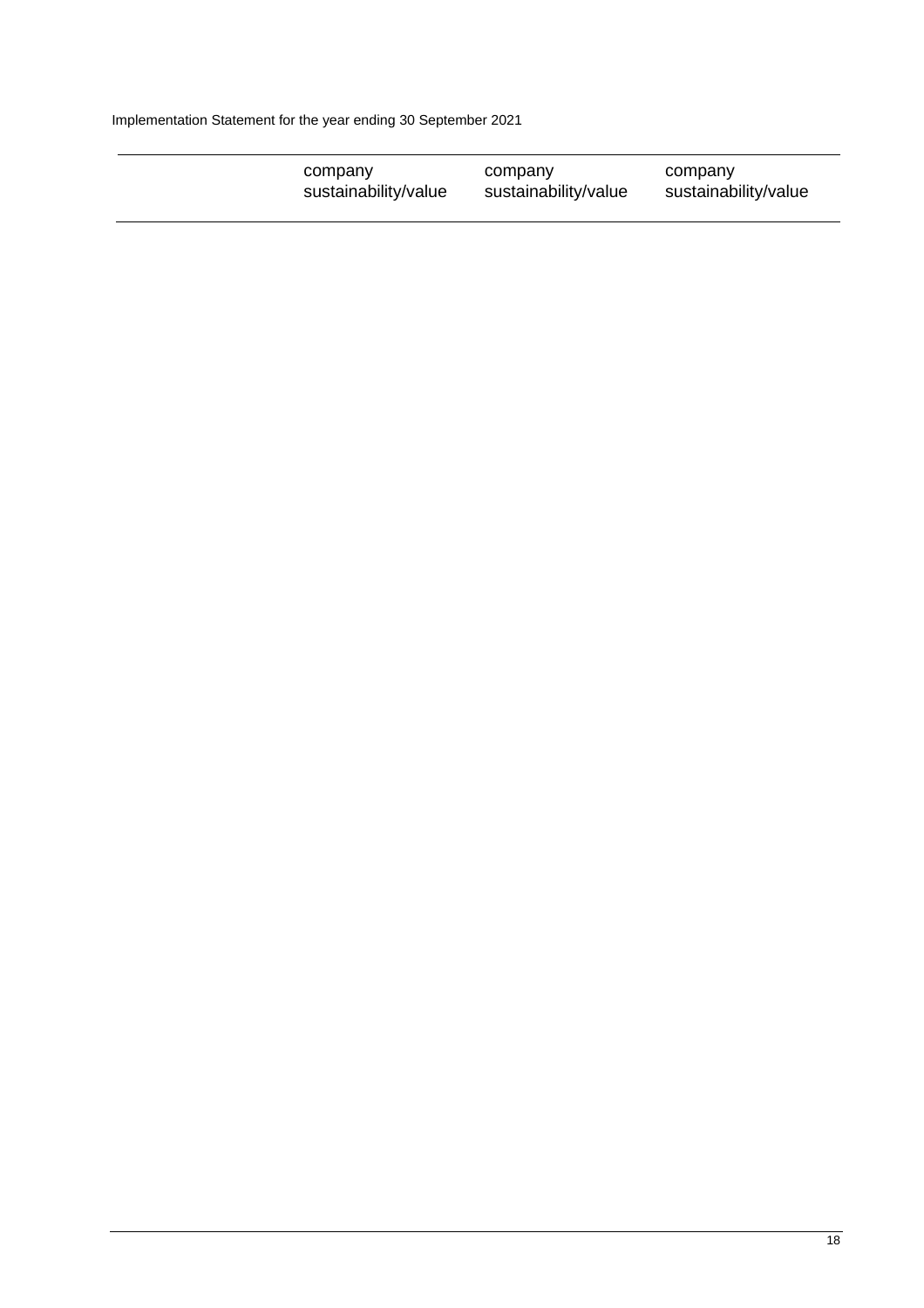| company              | company              | company              |
|----------------------|----------------------|----------------------|
| sustainability/value | sustainability/value | sustainability/value |
|                      |                      |                      |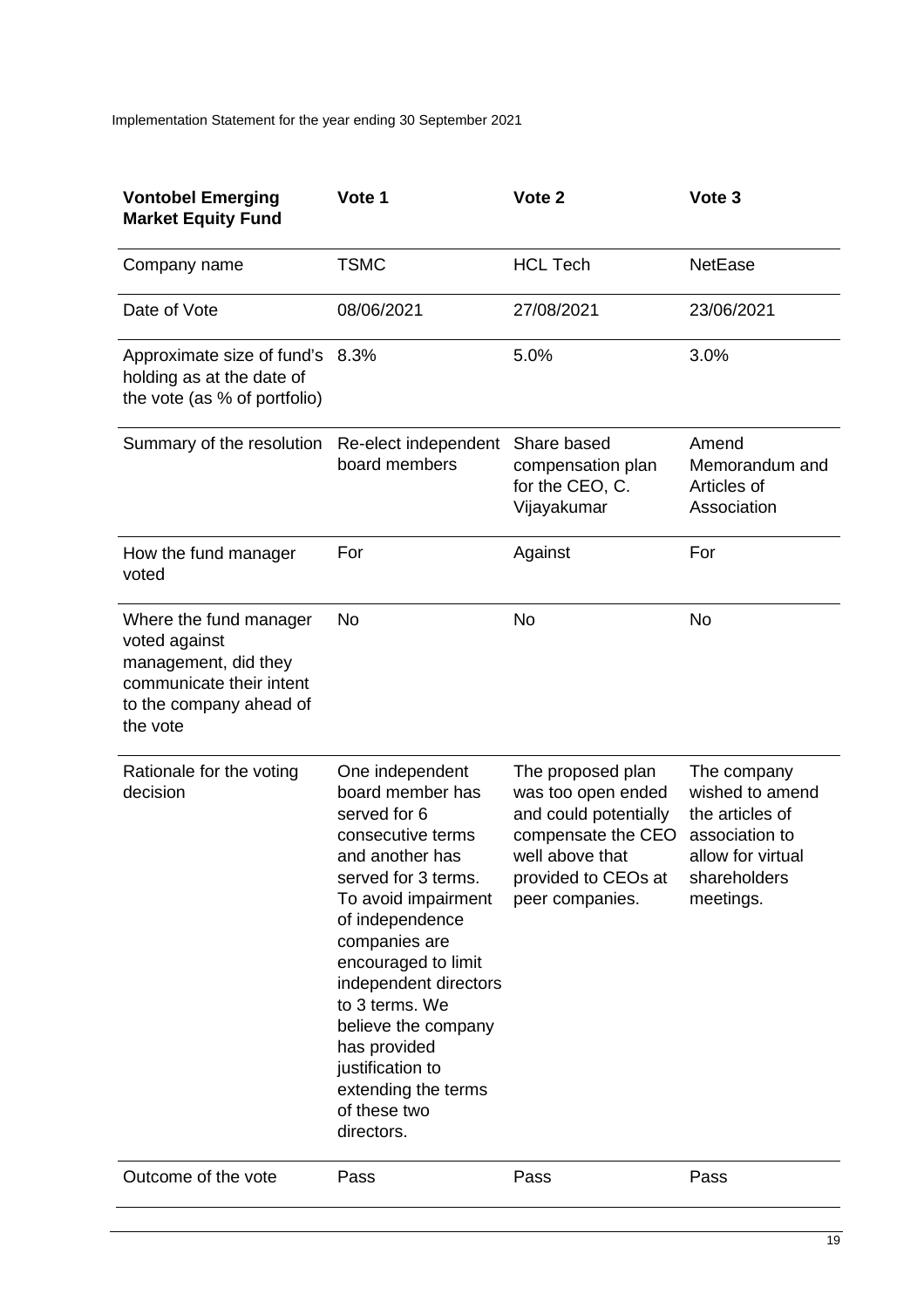| <b>Vontobel Emerging</b><br><b>Market Equity Fund</b>                                                                              | Vote 1                                                                                                                                                                                                                                                                                                                                                          | Vote 2                                                                                                                                              | Vote 3                                                                                                                |
|------------------------------------------------------------------------------------------------------------------------------------|-----------------------------------------------------------------------------------------------------------------------------------------------------------------------------------------------------------------------------------------------------------------------------------------------------------------------------------------------------------------|-----------------------------------------------------------------------------------------------------------------------------------------------------|-----------------------------------------------------------------------------------------------------------------------|
| Company name                                                                                                                       | <b>TSMC</b>                                                                                                                                                                                                                                                                                                                                                     | <b>HCL Tech</b>                                                                                                                                     | <b>NetEase</b>                                                                                                        |
| Date of Vote                                                                                                                       | 08/06/2021                                                                                                                                                                                                                                                                                                                                                      | 27/08/2021                                                                                                                                          | 23/06/2021                                                                                                            |
| Approximate size of fund's 8.3%<br>holding as at the date of<br>the vote (as % of portfolio)                                       |                                                                                                                                                                                                                                                                                                                                                                 | 5.0%                                                                                                                                                | 3.0%                                                                                                                  |
| Summary of the resolution                                                                                                          | Re-elect independent<br>board members                                                                                                                                                                                                                                                                                                                           | Share based<br>compensation plan<br>for the CEO, C.<br>Vijayakumar                                                                                  | Amend<br>Memorandum and<br>Articles of<br>Association                                                                 |
| How the fund manager<br>voted                                                                                                      | For                                                                                                                                                                                                                                                                                                                                                             | Against                                                                                                                                             | For                                                                                                                   |
| Where the fund manager<br>voted against<br>management, did they<br>communicate their intent<br>to the company ahead of<br>the vote | No                                                                                                                                                                                                                                                                                                                                                              | <b>No</b>                                                                                                                                           | <b>No</b>                                                                                                             |
| Rationale for the voting<br>decision                                                                                               | One independent<br>board member has<br>served for 6<br>consecutive terms<br>and another has<br>served for 3 terms.<br>To avoid impairment<br>of independence<br>companies are<br>encouraged to limit<br>independent directors<br>to 3 terms. We<br>believe the company<br>has provided<br>justification to<br>extending the terms<br>of these two<br>directors. | The proposed plan<br>was too open ended<br>and could potentially<br>compensate the CEO<br>well above that<br>provided to CEOs at<br>peer companies. | The company<br>wished to amend<br>the articles of<br>association to<br>allow for virtual<br>shareholders<br>meetings. |
| Outcome of the vote                                                                                                                | Pass                                                                                                                                                                                                                                                                                                                                                            | Pass                                                                                                                                                | Pass                                                                                                                  |